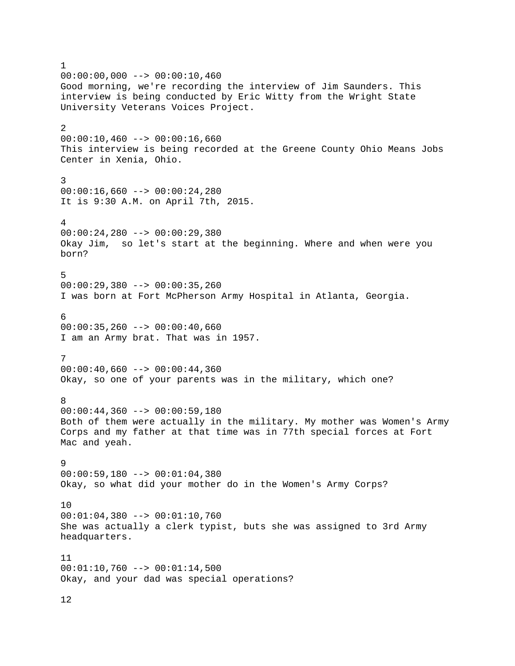1  $00:00:00,000$  -->  $00:00:10,460$ Good morning, we're recording the interview of Jim Saunders. This interview is being conducted by Eric Witty from the Wright State University Veterans Voices Project. 2  $00:00:10,460$  -->  $00:00:16,660$ This interview is being recorded at the Greene County Ohio Means Jobs Center in Xenia, Ohio. 3  $00:00:16,660$  -->  $00:00:24,280$ It is 9:30 A.M. on April 7th, 2015. 4  $00:00:24,280$  -->  $00:00:29,380$ Okay Jim, so let's start at the beginning. Where and when were you born? 5  $00:00:29,380$  -->  $00:00:35,260$ I was born at Fort McPherson Army Hospital in Atlanta, Georgia. 6  $00:00:35,260$  -->  $00:00:40,660$ I am an Army brat. That was in 1957. 7  $00:00:40,660$  -->  $00:00:44,360$ Okay, so one of your parents was in the military, which one? 8 00:00:44,360 --> 00:00:59,180 Both of them were actually in the military. My mother was Women's Army Corps and my father at that time was in 77th special forces at Fort Mac and yeah. 9  $00:00:59,180$  -->  $00:01:04,380$ Okay, so what did your mother do in the Women's Army Corps? 10 00:01:04,380 --> 00:01:10,760 She was actually a clerk typist, buts she was assigned to 3rd Army headquarters. 11 00:01:10,760 --> 00:01:14,500 Okay, and your dad was special operations?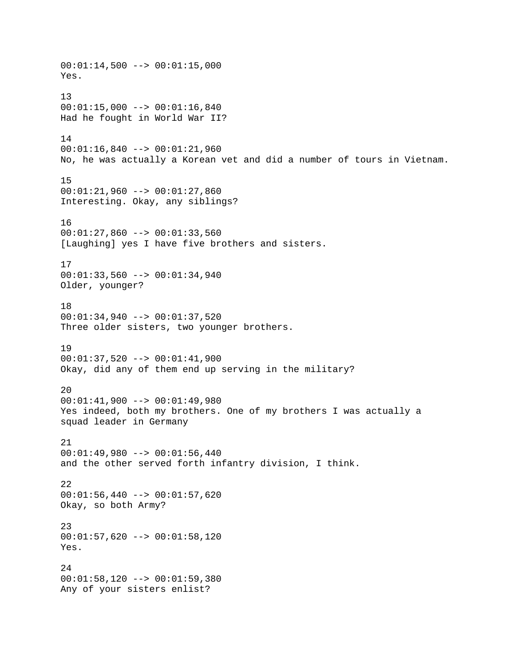$00:01:14,500$  -->  $00:01:15,000$ Yes. 13 00:01:15,000 --> 00:01:16,840 Had he fought in World War II? 14 00:01:16,840 --> 00:01:21,960 No, he was actually a Korean vet and did a number of tours in Vietnam. 15 00:01:21,960 --> 00:01:27,860 Interesting. Okay, any siblings? 16 00:01:27,860 --> 00:01:33,560 [Laughing] yes I have five brothers and sisters. 17 00:01:33,560 --> 00:01:34,940 Older, younger? 18 00:01:34,940 --> 00:01:37,520 Three older sisters, two younger brothers. 19 00:01:37,520 --> 00:01:41,900 Okay, did any of them end up serving in the military? 20  $00:01:41,900$  -->  $00:01:49,980$ Yes indeed, both my brothers. One of my brothers I was actually a squad leader in Germany 21 00:01:49,980 --> 00:01:56,440 and the other served forth infantry division, I think. 22  $00:01:56,440$  -->  $00:01:57,620$ Okay, so both Army? 23 00:01:57,620 --> 00:01:58,120 Yes. 24 00:01:58,120 --> 00:01:59,380 Any of your sisters enlist?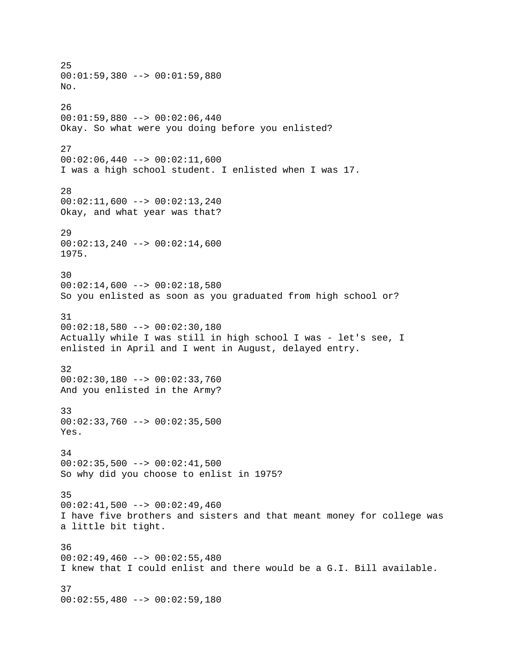25 00:01:59,380 --> 00:01:59,880 No. 26 00:01:59,880 --> 00:02:06,440 Okay. So what were you doing before you enlisted? 27  $00:02:06,440$  -->  $00:02:11,600$ I was a high school student. I enlisted when I was 17. 28  $00:02:11,600$  -->  $00:02:13,240$ Okay, and what year was that? 29  $00:02:13,240$  -->  $00:02:14,600$ 1975. 30  $00:02:14,600$  -->  $00:02:18,580$ So you enlisted as soon as you graduated from high school or? 31 00:02:18,580 --> 00:02:30,180 Actually while I was still in high school I was - let's see, I enlisted in April and I went in August, delayed entry. 32  $00:02:30,180$  -->  $00:02:33,760$ And you enlisted in the Army? 33  $00:02:33,760$  -->  $00:02:35,500$ Yes. 34  $00:02:35,500$  -->  $00:02:41,500$ So why did you choose to enlist in 1975? 35  $00:02:41,500$  -->  $00:02:49,460$ I have five brothers and sisters and that meant money for college was a little bit tight. 36  $00:02:49,460$  -->  $00:02:55,480$ I knew that I could enlist and there would be a G.I. Bill available. 37  $00:02:55,480$  -->  $00:02:59,180$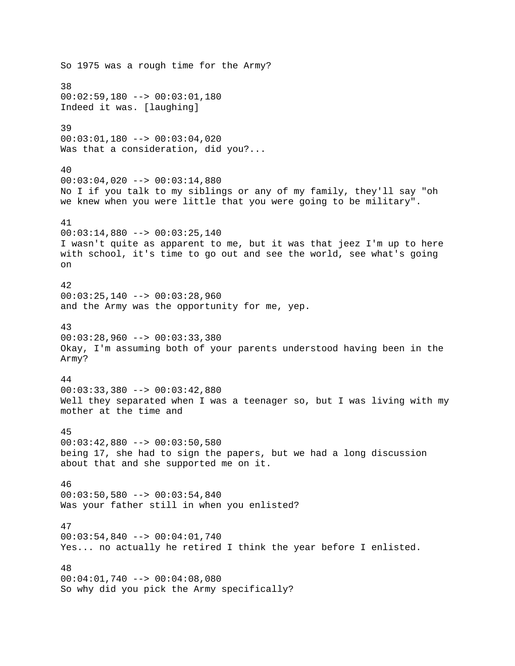So 1975 was a rough time for the Army? 38 00:02:59,180 --> 00:03:01,180 Indeed it was. [laughing] 39 00:03:01,180 --> 00:03:04,020 Was that a consideration, did you?... 40 00:03:04,020 --> 00:03:14,880 No I if you talk to my siblings or any of my family, they'll say "oh we knew when you were little that you were going to be military". 41  $00:03:14,880$  -->  $00:03:25,140$ I wasn't quite as apparent to me, but it was that jeez I'm up to here with school, it's time to go out and see the world, see what's going on 42  $00:03:25,140$  -->  $00:03:28,960$ and the Army was the opportunity for me, yep. 43  $00:03:28,960$  -->  $00:03:33,380$ Okay, I'm assuming both of your parents understood having been in the Army? 44 00:03:33,380 --> 00:03:42,880 Well they separated when I was a teenager so, but I was living with my mother at the time and 45 00:03:42,880 --> 00:03:50,580 being 17, she had to sign the papers, but we had a long discussion about that and she supported me on it. 46  $00:03:50,580$  -->  $00:03:54,840$ Was your father still in when you enlisted? 47 00:03:54,840 --> 00:04:01,740 Yes... no actually he retired I think the year before I enlisted. 48  $00:04:01,740$  -->  $00:04:08,080$ So why did you pick the Army specifically?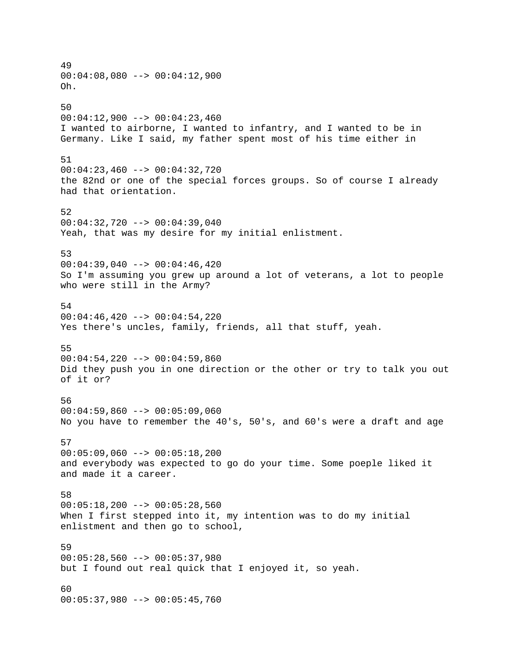49  $00:04:08,080$  -->  $00:04:12,900$ Oh. 50  $00:04:12,900$  -->  $00:04:23,460$ I wanted to airborne, I wanted to infantry, and I wanted to be in Germany. Like I said, my father spent most of his time either in 51 00:04:23,460 --> 00:04:32,720 the 82nd or one of the special forces groups. So of course I already had that orientation. 52 00:04:32,720 --> 00:04:39,040 Yeah, that was my desire for my initial enlistment. 53  $00:04:39,040$  -->  $00:04:46,420$ So I'm assuming you grew up around a lot of veterans, a lot to people who were still in the Army? 54  $00:04:46,420$  -->  $00:04:54,220$ Yes there's uncles, family, friends, all that stuff, yeah. 55  $00:04:54,220$  -->  $00:04:59,860$ Did they push you in one direction or the other or try to talk you out of it or? 56 00:04:59,860 --> 00:05:09,060 No you have to remember the 40's, 50's, and 60's were a draft and age 57  $00:05:09,060$  -->  $00:05:18,200$ and everybody was expected to go do your time. Some poeple liked it and made it a career. 58  $00:05:18,200$  -->  $00:05:28,560$ When I first stepped into it, my intention was to do my initial enlistment and then go to school, 59  $00:05:28,560$  -->  $00:05:37,980$ but I found out real quick that I enjoyed it, so yeah. 60 00:05:37,980 --> 00:05:45,760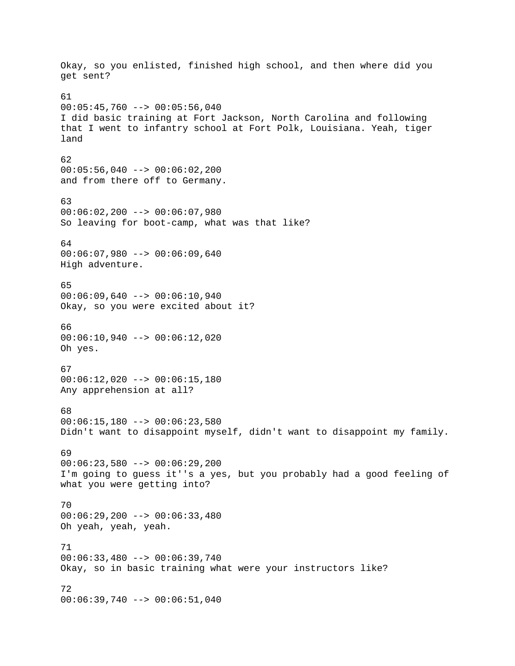Okay, so you enlisted, finished high school, and then where did you get sent? 61  $00:05:45,760$  -->  $00:05:56,040$ I did basic training at Fort Jackson, North Carolina and following that I went to infantry school at Fort Polk, Louisiana. Yeah, tiger land 62  $00:05:56,040$  -->  $00:06:02,200$ and from there off to Germany. 63 00:06:02,200 --> 00:06:07,980 So leaving for boot-camp, what was that like? 64  $00:06:07,980$  -->  $00:06:09,640$ High adventure. 65 00:06:09,640 --> 00:06:10,940 Okay, so you were excited about it? 66  $00:06:10,940$  -->  $00:06:12,020$ Oh yes. 67 00:06:12,020 --> 00:06:15,180 Any apprehension at all? 68  $00:06:15,180$  -->  $00:06:23,580$ Didn't want to disappoint myself, didn't want to disappoint my family. 69 00:06:23,580 --> 00:06:29,200 I'm going to guess it''s a yes, but you probably had a good feeling of what you were getting into? 70 00:06:29,200 --> 00:06:33,480 Oh yeah, yeah, yeah. 71 00:06:33,480 --> 00:06:39,740 Okay, so in basic training what were your instructors like? 72 00:06:39,740 --> 00:06:51,040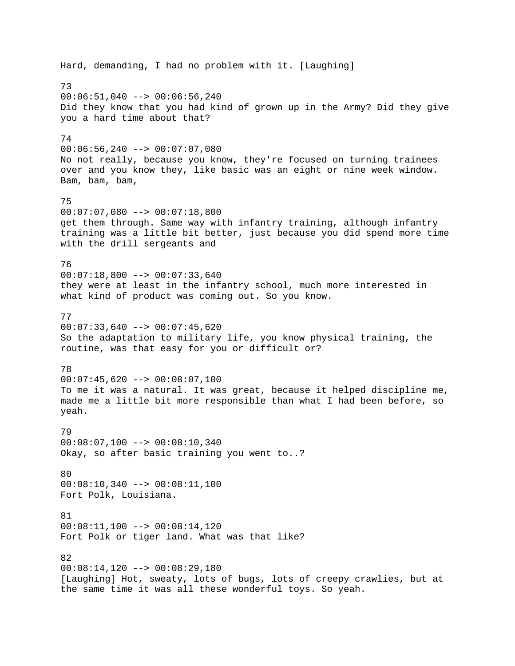Hard, demanding, I had no problem with it. [Laughing] 73  $00:06:51,040$  -->  $00:06:56,240$ Did they know that you had kind of grown up in the Army? Did they give you a hard time about that? 74 00:06:56,240 --> 00:07:07,080 No not really, because you know, they're focused on turning trainees over and you know they, like basic was an eight or nine week window. Bam, bam, bam, 75 00:07:07,080 --> 00:07:18,800 get them through. Same way with infantry training, although infantry training was a little bit better, just because you did spend more time with the drill sergeants and 76  $00:07:18,800$  -->  $00:07:33,640$ they were at least in the infantry school, much more interested in what kind of product was coming out. So you know. 77  $00:07:33,640$  -->  $00:07:45,620$ So the adaptation to military life, you know physical training, the routine, was that easy for you or difficult or? 78  $00:07:45,620$  -->  $00:08:07,100$ To me it was a natural. It was great, because it helped discipline me, made me a little bit more responsible than what I had been before, so yeah. 79 00:08:07,100 --> 00:08:10,340 Okay, so after basic training you went to..? 80 00:08:10,340 --> 00:08:11,100 Fort Polk, Louisiana. 81 00:08:11,100 --> 00:08:14,120 Fort Polk or tiger land. What was that like? 82 00:08:14,120 --> 00:08:29,180 [Laughing] Hot, sweaty, lots of bugs, lots of creepy crawlies, but at the same time it was all these wonderful toys. So yeah.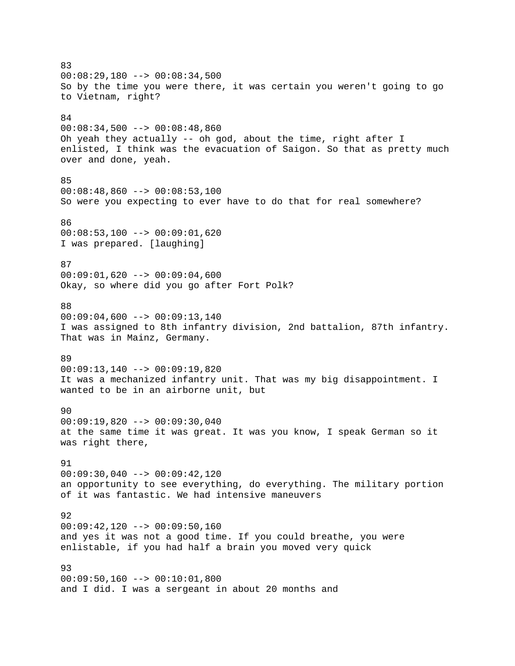83  $00:08:29,180$  -->  $00:08:34,500$ So by the time you were there, it was certain you weren't going to go to Vietnam, right? 84  $00:08:34,500$  -->  $00:08:48,860$ Oh yeah they actually -- oh god, about the time, right after I enlisted, I think was the evacuation of Saigon. So that as pretty much over and done, yeah. 85  $00:08:48,860$  -->  $00:08:53,100$ So were you expecting to ever have to do that for real somewhere? 86  $00:08:53,100$  -->  $00:09:01,620$ I was prepared. [laughing] 87  $00:09:01,620$  -->  $00:09:04,600$ Okay, so where did you go after Fort Polk? 88  $00:09:04,600$  -->  $00:09:13,140$ I was assigned to 8th infantry division, 2nd battalion, 87th infantry. That was in Mainz, Germany. 89 00:09:13,140 --> 00:09:19,820 It was a mechanized infantry unit. That was my big disappointment. I wanted to be in an airborne unit, but 90 00:09:19,820 --> 00:09:30,040 at the same time it was great. It was you know, I speak German so it was right there, 91 00:09:30,040 --> 00:09:42,120 an opportunity to see everything, do everything. The military portion of it was fantastic. We had intensive maneuvers 92  $00:09:42,120$  -->  $00:09:50,160$ and yes it was not a good time. If you could breathe, you were enlistable, if you had half a brain you moved very quick 93  $00:09:50,160$  -->  $00:10:01,800$ and I did. I was a sergeant in about 20 months and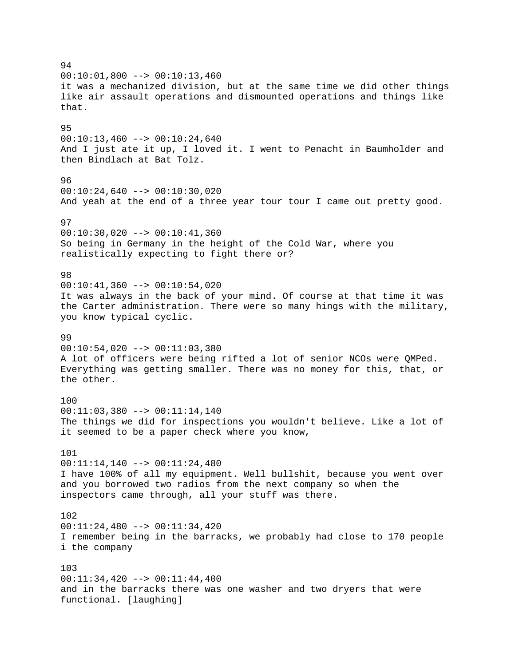94  $00:10:01,800$  -->  $00:10:13,460$ it was a mechanized division, but at the same time we did other things like air assault operations and dismounted operations and things like that. 95  $00:10:13,460$  -->  $00:10:24,640$ And I just ate it up, I loved it. I went to Penacht in Baumholder and then Bindlach at Bat Tolz. 96  $00:10:24,640$  -->  $00:10:30,020$ And yeah at the end of a three year tour tour I came out pretty good. 97  $00:10:30,020$  -->  $00:10:41,360$ So being in Germany in the height of the Cold War, where you realistically expecting to fight there or? 98  $00:10:41,360$  -->  $00:10:54,020$ It was always in the back of your mind. Of course at that time it was the Carter administration. There were so many hings with the military, you know typical cyclic. 99  $00:10:54,020$  -->  $00:11:03,380$ A lot of officers were being rifted a lot of senior NCOs were QMPed. Everything was getting smaller. There was no money for this, that, or the other. 100 00:11:03,380 --> 00:11:14,140 The things we did for inspections you wouldn't believe. Like a lot of it seemed to be a paper check where you know, 101 00:11:14,140 --> 00:11:24,480 I have 100% of all my equipment. Well bullshit, because you went over and you borrowed two radios from the next company so when the inspectors came through, all your stuff was there. 102 00:11:24,480 --> 00:11:34,420 I remember being in the barracks, we probably had close to 170 people i the company 103  $00:11:34,420$  -->  $00:11:44,400$ and in the barracks there was one washer and two dryers that were functional. [laughing]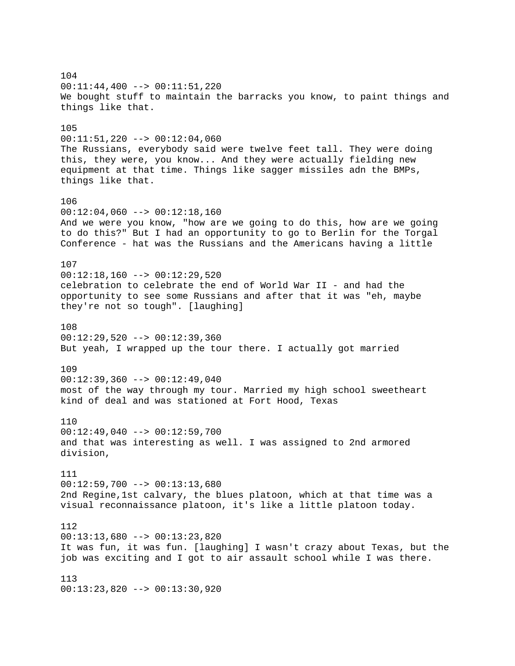104 00:11:44,400 --> 00:11:51,220 We bought stuff to maintain the barracks you know, to paint things and things like that. 105  $00:11:51,220$  -->  $00:12:04,060$ The Russians, everybody said were twelve feet tall. They were doing this, they were, you know... And they were actually fielding new equipment at that time. Things like sagger missiles adn the BMPs, things like that. 106  $00:12:04,060$  -->  $00:12:18,160$ And we were you know, "how are we going to do this, how are we going to do this?" But I had an opportunity to go to Berlin for the Torgal Conference - hat was the Russians and the Americans having a little 107 00:12:18,160 --> 00:12:29,520 celebration to celebrate the end of World War II - and had the opportunity to see some Russians and after that it was "eh, maybe they're not so tough". [laughing] 108 00:12:29,520 --> 00:12:39,360 But yeah, I wrapped up the tour there. I actually got married 109  $00:12:39,360$  -->  $00:12:49,040$ most of the way through my tour. Married my high school sweetheart kind of deal and was stationed at Fort Hood, Texas 110 00:12:49,040 --> 00:12:59,700 and that was interesting as well. I was assigned to 2nd armored division, 111  $00:12:59,700$  -->  $00:13:13,680$ 2nd Regine,1st calvary, the blues platoon, which at that time was a visual reconnaissance platoon, it's like a little platoon today. 112 00:13:13,680 --> 00:13:23,820 It was fun, it was fun. [laughing] I wasn't crazy about Texas, but the job was exciting and I got to air assault school while I was there. 113 00:13:23,820 --> 00:13:30,920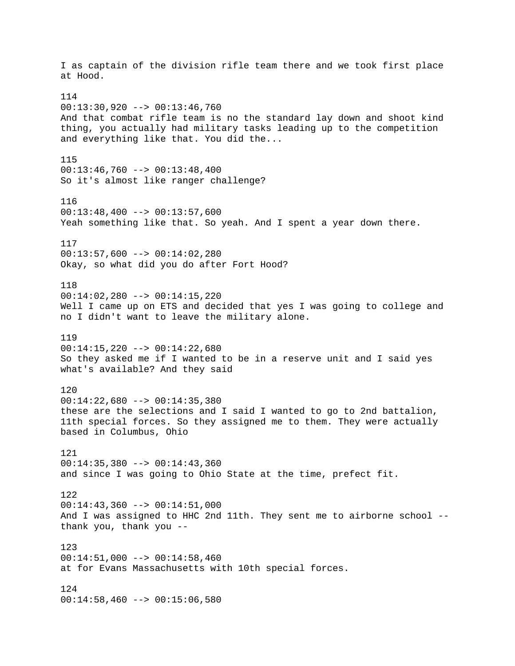I as captain of the division rifle team there and we took first place at Hood. 114 00:13:30,920 --> 00:13:46,760 And that combat rifle team is no the standard lay down and shoot kind thing, you actually had military tasks leading up to the competition and everything like that. You did the... 115  $00:13:46,760$  -->  $00:13:48,400$ So it's almost like ranger challenge? 116 00:13:48,400 --> 00:13:57,600 Yeah something like that. So yeah. And I spent a year down there. 117  $00:13:57,600$  -->  $00:14:02,280$ Okay, so what did you do after Fort Hood? 118 00:14:02,280 --> 00:14:15,220 Well I came up on ETS and decided that yes I was going to college and no I didn't want to leave the military alone. 119  $00:14:15,220$  -->  $00:14:22,680$ So they asked me if I wanted to be in a reserve unit and I said yes what's available? And they said 120  $00:14:22,680$  -->  $00:14:35,380$ these are the selections and I said I wanted to go to 2nd battalion, 11th special forces. So they assigned me to them. They were actually based in Columbus, Ohio 121  $00:14:35,380$  -->  $00:14:43,360$ and since I was going to Ohio State at the time, prefect fit. 122  $00:14:43,360$  -->  $00:14:51,000$ And I was assigned to HHC 2nd 11th. They sent me to airborne school - thank you, thank you -- 123 00:14:51,000 --> 00:14:58,460 at for Evans Massachusetts with 10th special forces. 124 00:14:58,460 --> 00:15:06,580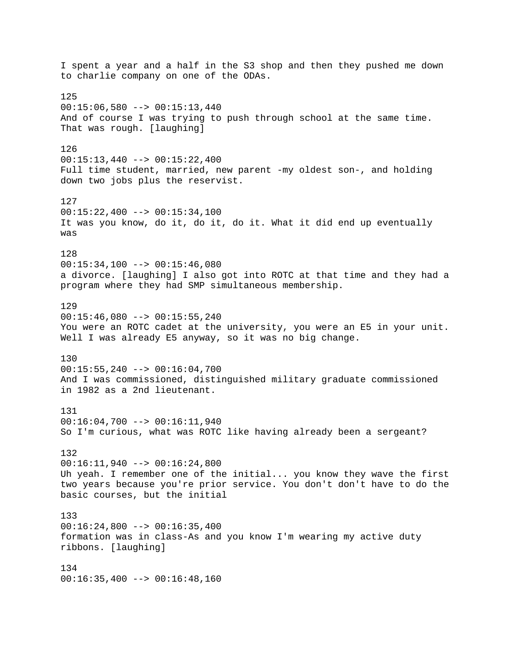I spent a year and a half in the S3 shop and then they pushed me down to charlie company on one of the ODAs. 125  $00:15:06,580$  -->  $00:15:13,440$ And of course I was trying to push through school at the same time. That was rough. [laughing] 126  $00:15:13,440$  -->  $00:15:22,400$ Full time student, married, new parent -my oldest son-, and holding down two jobs plus the reservist. 127  $00:15:22,400$  -->  $00:15:34,100$ It was you know, do it, do it, do it. What it did end up eventually was 128  $00:15:34,100$  -->  $00:15:46,080$ a divorce. [laughing] I also got into ROTC at that time and they had a program where they had SMP simultaneous membership. 129  $00:15:46,080$  -->  $00:15:55,240$ You were an ROTC cadet at the university, you were an E5 in your unit. Well I was already E5 anyway, so it was no big change. 130 00:15:55,240 --> 00:16:04,700 And I was commissioned, distinguished military graduate commissioned in 1982 as a 2nd lieutenant. 131 00:16:04,700 --> 00:16:11,940 So I'm curious, what was ROTC like having already been a sergeant? 132  $00:16:11,940$  -->  $00:16:24,800$ Uh yeah. I remember one of the initial... you know they wave the first two years because you're prior service. You don't don't have to do the basic courses, but the initial 133  $00:16:24,800$  -->  $00:16:35,400$ formation was in class-As and you know I'm wearing my active duty ribbons. [laughing] 134  $00:16:35,400$  -->  $00:16:48,160$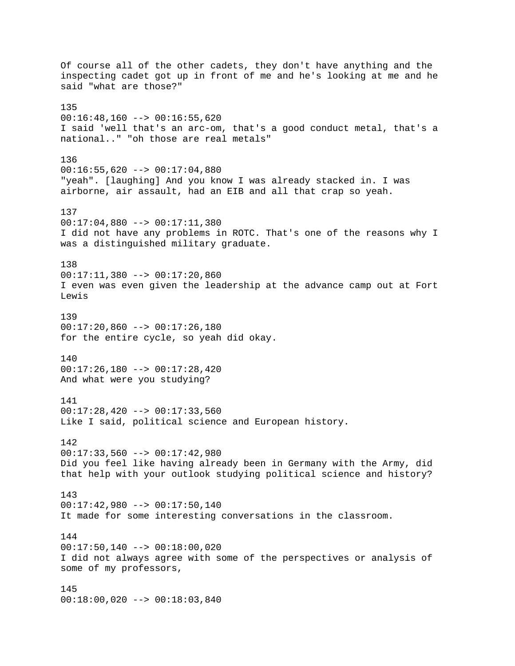Of course all of the other cadets, they don't have anything and the inspecting cadet got up in front of me and he's looking at me and he said "what are those?" 135 00:16:48,160 --> 00:16:55,620 I said 'well that's an arc-om, that's a good conduct metal, that's a national.." "oh those are real metals" 136 00:16:55,620 --> 00:17:04,880 "yeah". [laughing] And you know I was already stacked in. I was airborne, air assault, had an EIB and all that crap so yeah. 137 00:17:04,880 --> 00:17:11,380 I did not have any problems in ROTC. That's one of the reasons why I was a distinguished military graduate. 138 00:17:11,380 --> 00:17:20,860 I even was even given the leadership at the advance camp out at Fort Lewis 139  $00:17:20,860$  -->  $00:17:26,180$ for the entire cycle, so yeah did okay. 140 00:17:26,180 --> 00:17:28,420 And what were you studying? 141 00:17:28,420 --> 00:17:33,560 Like I said, political science and European history. 142 00:17:33,560 --> 00:17:42,980 Did you feel like having already been in Germany with the Army, did that help with your outlook studying political science and history? 143 00:17:42,980 --> 00:17:50,140 It made for some interesting conversations in the classroom. 144  $00:17:50,140$  -->  $00:18:00,020$ I did not always agree with some of the perspectives or analysis of some of my professors, 145 00:18:00,020 --> 00:18:03,840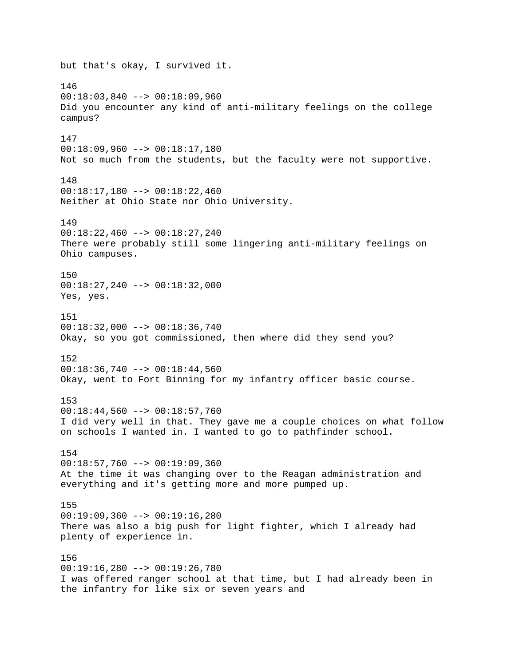but that's okay, I survived it. 146 00:18:03,840 --> 00:18:09,960 Did you encounter any kind of anti-military feelings on the college campus? 147 00:18:09,960 --> 00:18:17,180 Not so much from the students, but the faculty were not supportive. 148 00:18:17,180 --> 00:18:22,460 Neither at Ohio State nor Ohio University. 149 00:18:22,460 --> 00:18:27,240 There were probably still some lingering anti-military feelings on Ohio campuses. 150 00:18:27,240 --> 00:18:32,000 Yes, yes. 151 00:18:32,000 --> 00:18:36,740 Okay, so you got commissioned, then where did they send you? 152 00:18:36,740 --> 00:18:44,560 Okay, went to Fort Binning for my infantry officer basic course. 153 00:18:44,560 --> 00:18:57,760 I did very well in that. They gave me a couple choices on what follow on schools I wanted in. I wanted to go to pathfinder school. 154  $00:18:57,760$  -->  $00:19:09,360$ At the time it was changing over to the Reagan administration and everything and it's getting more and more pumped up. 155 00:19:09,360 --> 00:19:16,280 There was also a big push for light fighter, which I already had plenty of experience in. 156 00:19:16,280 --> 00:19:26,780 I was offered ranger school at that time, but I had already been in the infantry for like six or seven years and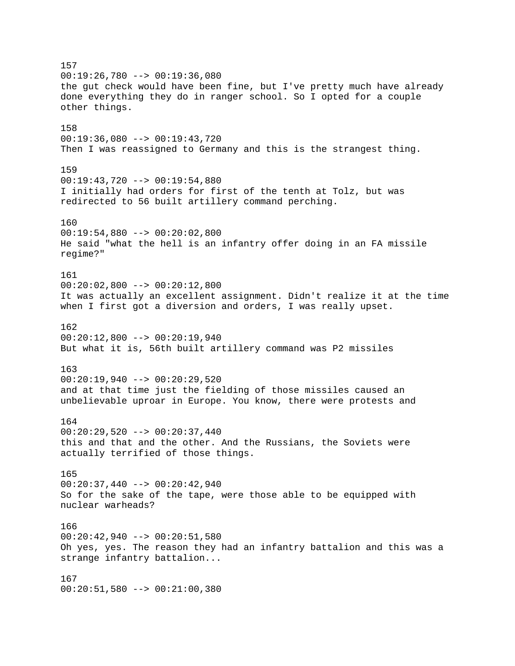157 00:19:26,780 --> 00:19:36,080 the gut check would have been fine, but I've pretty much have already done everything they do in ranger school. So I opted for a couple other things. 158 00:19:36,080 --> 00:19:43,720 Then I was reassigned to Germany and this is the strangest thing. 159 00:19:43,720 --> 00:19:54,880 I initially had orders for first of the tenth at Tolz, but was redirected to 56 built artillery command perching. 160  $00:19:54,880$  -->  $00:20:02,800$ He said "what the hell is an infantry offer doing in an FA missile regime?" 161  $00:20:02,800$  -->  $00:20:12,800$ It was actually an excellent assignment. Didn't realize it at the time when I first got a diversion and orders, I was really upset. 162  $00:20:12,800$  -->  $00:20:19,940$ But what it is, 56th built artillery command was P2 missiles 163  $00:20:19,940$  -->  $00:20:29,520$ and at that time just the fielding of those missiles caused an unbelievable uproar in Europe. You know, there were protests and 164  $00:20:29,520$  -->  $00:20:37,440$ this and that and the other. And the Russians, the Soviets were actually terrified of those things. 165 00:20:37,440 --> 00:20:42,940 So for the sake of the tape, were those able to be equipped with nuclear warheads? 166 00:20:42,940 --> 00:20:51,580 Oh yes, yes. The reason they had an infantry battalion and this was a strange infantry battalion... 167 00:20:51,580 --> 00:21:00,380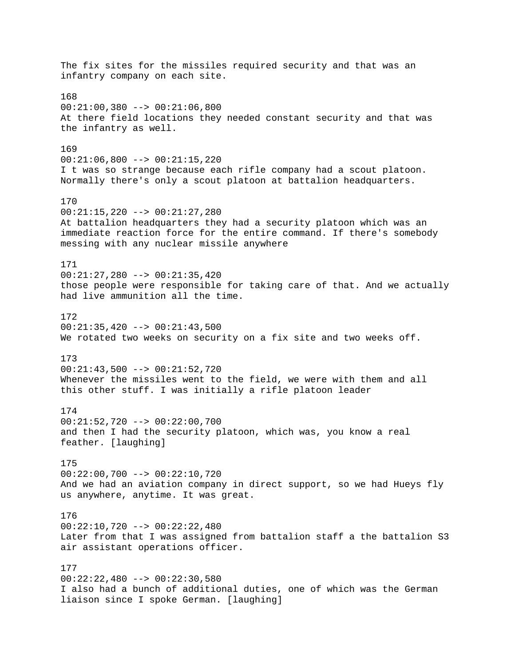The fix sites for the missiles required security and that was an infantry company on each site. 168 00:21:00,380 --> 00:21:06,800 At there field locations they needed constant security and that was the infantry as well. 169  $00:21:06,800$  -->  $00:21:15,220$ I t was so strange because each rifle company had a scout platoon. Normally there's only a scout platoon at battalion headquarters. 170 00:21:15,220 --> 00:21:27,280 At battalion headquarters they had a security platoon which was an immediate reaction force for the entire command. If there's somebody messing with any nuclear missile anywhere 171 00:21:27,280 --> 00:21:35,420 those people were responsible for taking care of that. And we actually had live ammunition all the time. 172 00:21:35,420 --> 00:21:43,500 We rotated two weeks on security on a fix site and two weeks off. 173 00:21:43,500 --> 00:21:52,720 Whenever the missiles went to the field, we were with them and all this other stuff. I was initially a rifle platoon leader 174 00:21:52,720 --> 00:22:00,700 and then I had the security platoon, which was, you know a real feather. [laughing] 175 00:22:00,700 --> 00:22:10,720 And we had an aviation company in direct support, so we had Hueys fly us anywhere, anytime. It was great. 176 00:22:10,720 --> 00:22:22,480 Later from that I was assigned from battalion staff a the battalion S3 air assistant operations officer. 177  $00:22:22,480$  -->  $00:22:30,580$ I also had a bunch of additional duties, one of which was the German liaison since I spoke German. [laughing]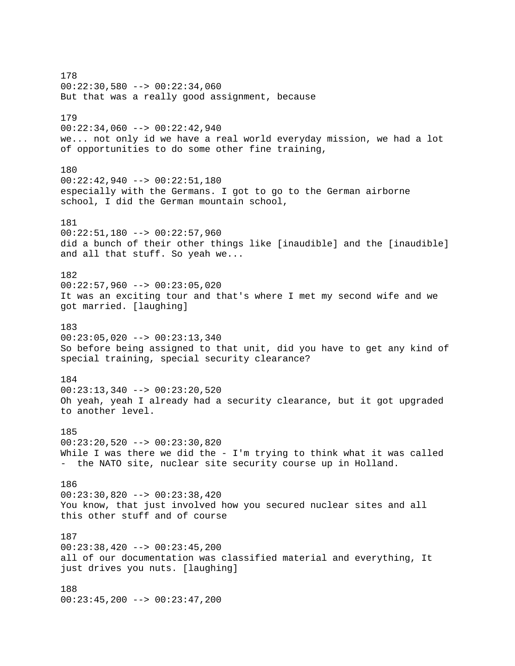178  $00:22:30,580$  -->  $00:22:34,060$ But that was a really good assignment, because 179  $00:22:34,060$  -->  $00:22:42,940$ we... not only id we have a real world everyday mission, we had a lot of opportunities to do some other fine training, 180 00:22:42,940 --> 00:22:51,180 especially with the Germans. I got to go to the German airborne school, I did the German mountain school, 181  $00:22:51,180$  -->  $00:22:57,960$ did a bunch of their other things like [inaudible] and the [inaudible] and all that stuff. So yeah we... 182  $00:22:57,960$  -->  $00:23:05,020$ It was an exciting tour and that's where I met my second wife and we got married. [laughing] 183 00:23:05,020 --> 00:23:13,340 So before being assigned to that unit, did you have to get any kind of special training, special security clearance? 184  $00:23:13,340$  -->  $00:23:20,520$ Oh yeah, yeah I already had a security clearance, but it got upgraded to another level. 185 00:23:20,520 --> 00:23:30,820 While I was there we did the - I'm trying to think what it was called - the NATO site, nuclear site security course up in Holland. 186 00:23:30,820 --> 00:23:38,420 You know, that just involved how you secured nuclear sites and all this other stuff and of course 187  $00:23:38,420$  -->  $00:23:45,200$ all of our documentation was classified material and everything, It just drives you nuts. [laughing] 188 00:23:45,200 --> 00:23:47,200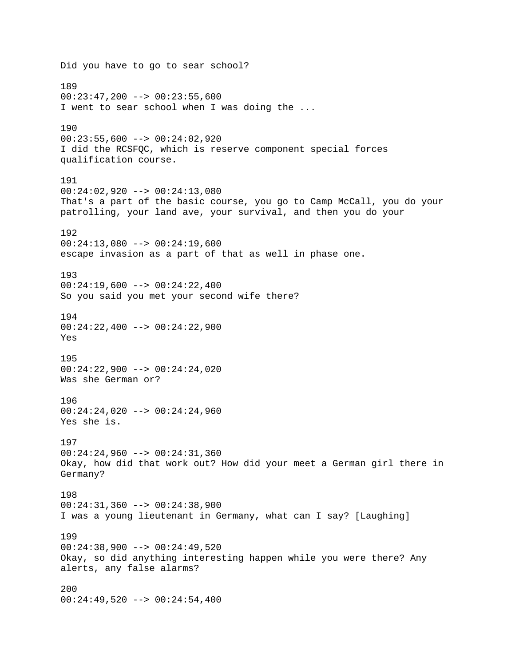Did you have to go to sear school? 189  $00:23:47,200$  -->  $00:23:55,600$ I went to sear school when I was doing the ... 190 00:23:55,600 --> 00:24:02,920 I did the RCSFQC, which is reserve component special forces qualification course. 191 00:24:02,920 --> 00:24:13,080 That's a part of the basic course, you go to Camp McCall, you do your patrolling, your land ave, your survival, and then you do your 192  $00:24:13,080$  -->  $00:24:19,600$ escape invasion as a part of that as well in phase one. 193  $00:24:19,600$  -->  $00:24:22,400$ So you said you met your second wife there? 194 00:24:22,400 --> 00:24:22,900 Yes 195 00:24:22,900 --> 00:24:24,020 Was she German or? 196 00:24:24,020 --> 00:24:24,960 Yes she is. 197 00:24:24,960 --> 00:24:31,360 Okay, how did that work out? How did your meet a German girl there in Germany? 198 00:24:31,360 --> 00:24:38,900 I was a young lieutenant in Germany, what can I say? [Laughing] 199  $00:24:38,900$  -->  $00:24:49,520$ Okay, so did anything interesting happen while you were there? Any alerts, any false alarms? 200  $00:24:49,520$  -->  $00:24:54,400$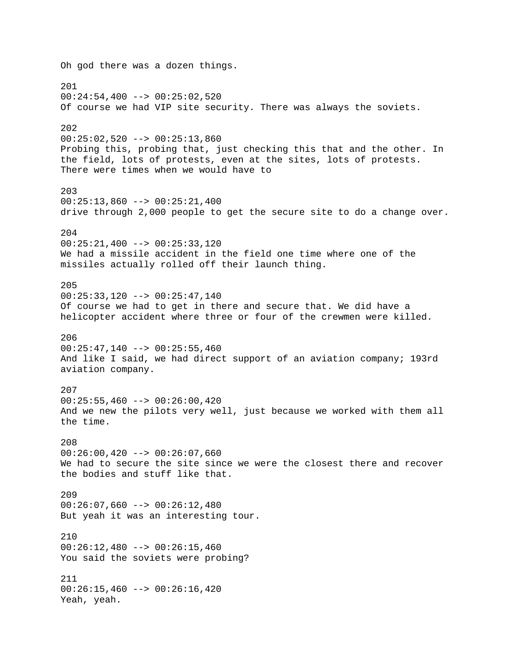Oh god there was a dozen things. 201  $00:24:54,400$  -->  $00:25:02,520$ Of course we had VIP site security. There was always the soviets. 202  $00:25:02,520$  -->  $00:25:13,860$ Probing this, probing that, just checking this that and the other. In the field, lots of protests, even at the sites, lots of protests. There were times when we would have to 203  $00:25:13,860$  -->  $00:25:21,400$ drive through 2,000 people to get the secure site to do a change over. 204  $00:25:21,400$  -->  $00:25:33,120$ We had a missile accident in the field one time where one of the missiles actually rolled off their launch thing. 205 00:25:33,120 --> 00:25:47,140 Of course we had to get in there and secure that. We did have a helicopter accident where three or four of the crewmen were killed. 206  $00:25:47,140$  -->  $00:25:55,460$ And like I said, we had direct support of an aviation company; 193rd aviation company. 207  $00:25:55,460$  -->  $00:26:00,420$ And we new the pilots very well, just because we worked with them all the time. 208  $00:26:00,420$  -->  $00:26:07,660$ We had to secure the site since we were the closest there and recover the bodies and stuff like that. 209  $00:26:07,660$  -->  $00:26:12,480$ But yeah it was an interesting tour. 210  $00:26:12,480$  -->  $00:26:15,460$ You said the soviets were probing? 211  $00:26:15,460$  -->  $00:26:16,420$ Yeah, yeah.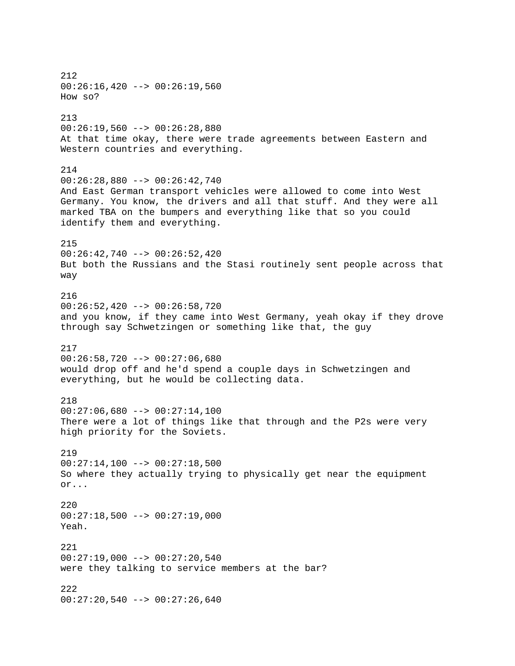212  $00:26:16,420$  -->  $00:26:19,560$ How so? 213  $00:26:19,560$  -->  $00:26:28,880$ At that time okay, there were trade agreements between Eastern and Western countries and everything. 214 00:26:28,880 --> 00:26:42,740 And East German transport vehicles were allowed to come into West Germany. You know, the drivers and all that stuff. And they were all marked TBA on the bumpers and everything like that so you could identify them and everything. 215 00:26:42,740 --> 00:26:52,420 But both the Russians and the Stasi routinely sent people across that way 216 00:26:52,420 --> 00:26:58,720 and you know, if they came into West Germany, yeah okay if they drove through say Schwetzingen or something like that, the guy 217 00:26:58,720 --> 00:27:06,680 would drop off and he'd spend a couple days in Schwetzingen and everything, but he would be collecting data. 218 00:27:06,680 --> 00:27:14,100 There were a lot of things like that through and the P2s were very high priority for the Soviets. 219  $00:27:14,100$  -->  $00:27:18,500$ So where they actually trying to physically get near the equipment or... 220  $00:27:18,500$  -->  $00:27:19,000$ Yeah. 221  $00:27:19,000$  -->  $00:27:20,540$ were they talking to service members at the bar? 222  $00:27:20,540$  -->  $00:27:26,640$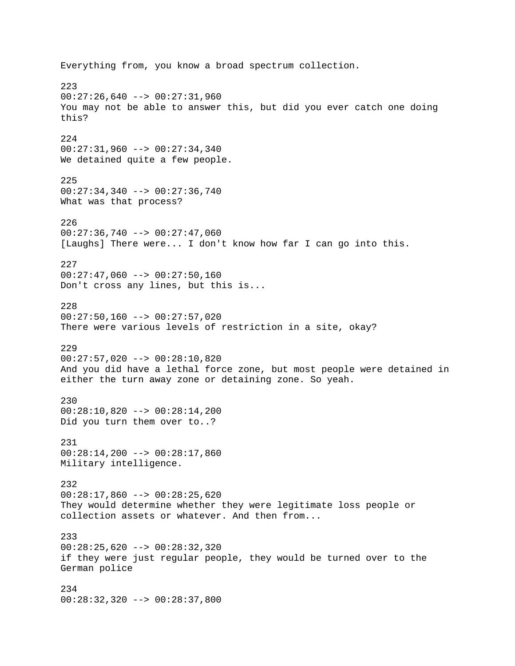Everything from, you know a broad spectrum collection. 223  $00:27:26,640$  -->  $00:27:31,960$ You may not be able to answer this, but did you ever catch one doing this? 224 00:27:31,960 --> 00:27:34,340 We detained quite a few people. 225 00:27:34,340 --> 00:27:36,740 What was that process? 226  $00:27:36,740$  -->  $00:27:47,060$ [Laughs] There were... I don't know how far I can go into this. 227  $00:27:47,060$  -->  $00:27:50,160$ Don't cross any lines, but this is... 228  $00:27:50,160$  -->  $00:27:57,020$ There were various levels of restriction in a site, okay? 229 00:27:57,020 --> 00:28:10,820 And you did have a lethal force zone, but most people were detained in either the turn away zone or detaining zone. So yeah. 230 00:28:10,820 --> 00:28:14,200 Did you turn them over to..? 231 00:28:14,200 --> 00:28:17,860 Military intelligence. 232  $00:28:17,860$  -->  $00:28:25,620$ They would determine whether they were legitimate loss people or collection assets or whatever. And then from... 233 00:28:25,620 --> 00:28:32,320 if they were just regular people, they would be turned over to the German police 234 00:28:32,320 --> 00:28:37,800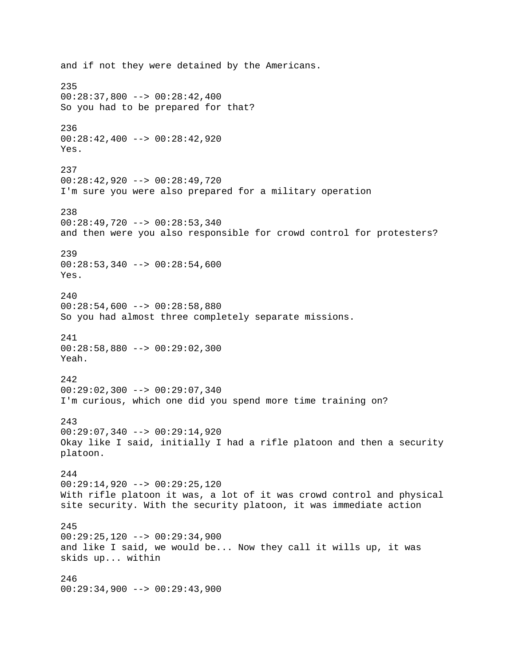and if not they were detained by the Americans. 235  $00:28:37,800$  -->  $00:28:42,400$ So you had to be prepared for that? 236 00:28:42,400 --> 00:28:42,920 Yes. 237 00:28:42,920 --> 00:28:49,720 I'm sure you were also prepared for a military operation 238 00:28:49,720 --> 00:28:53,340 and then were you also responsible for crowd control for protesters? 239  $00:28:53,340$  -->  $00:28:54,600$ Yes.  $240$  $00:28:54,600$  -->  $00:28:58,880$ So you had almost three completely separate missions. 241 00:28:58,880 --> 00:29:02,300 Yeah. 242 00:29:02,300 --> 00:29:07,340 I'm curious, which one did you spend more time training on? 243 00:29:07,340 --> 00:29:14,920 Okay like I said, initially I had a rifle platoon and then a security platoon. 244 00:29:14,920 --> 00:29:25,120 With rifle platoon it was, a lot of it was crowd control and physical site security. With the security platoon, it was immediate action 245 00:29:25,120 --> 00:29:34,900 and like I said, we would be... Now they call it wills up, it was skids up... within 246  $00:29:34,900$  -->  $00:29:43,900$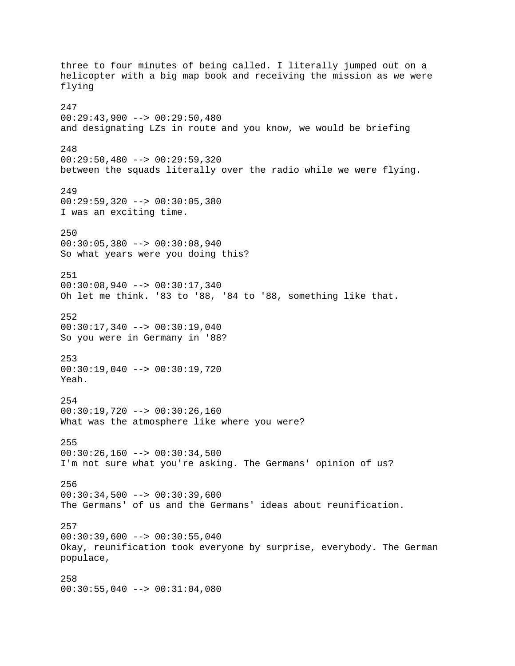three to four minutes of being called. I literally jumped out on a helicopter with a big map book and receiving the mission as we were flying 247  $00:29:43,900$  -->  $00:29:50,480$ and designating LZs in route and you know, we would be briefing 248 00:29:50,480 --> 00:29:59,320 between the squads literally over the radio while we were flying. 249  $00:29:59,320$  -->  $00:30:05,380$ I was an exciting time. 250  $00:30:05,380$  -->  $00:30:08,940$ So what years were you doing this? 251 00:30:08,940 --> 00:30:17,340 Oh let me think. '83 to '88, '84 to '88, something like that. 252 00:30:17,340 --> 00:30:19,040 So you were in Germany in '88? 253 00:30:19,040 --> 00:30:19,720 Yeah. 254 00:30:19,720 --> 00:30:26,160 What was the atmosphere like where you were? 255  $00:30:26,160$  -->  $00:30:34,500$ I'm not sure what you're asking. The Germans' opinion of us? 256  $00:30:34,500$  -->  $00:30:39,600$ The Germans' of us and the Germans' ideas about reunification. 257  $00:30:39,600$  -->  $00:30:55,040$ Okay, reunification took everyone by surprise, everybody. The German populace, 258 00:30:55,040 --> 00:31:04,080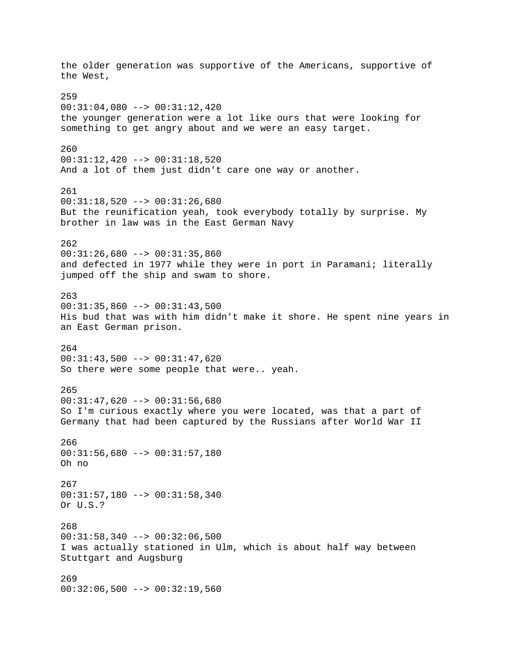the older generation was supportive of the Americans, supportive of the West, 259 00:31:04,080 --> 00:31:12,420 the younger generation were a lot like ours that were looking for something to get angry about and we were an easy target. 260 00:31:12,420 --> 00:31:18,520 And a lot of them just didn't care one way or another. 261  $00:31:18,520$  -->  $00:31:26,680$ But the reunification yeah, took everybody totally by surprise. My brother in law was in the East German Navy 262 00:31:26,680 --> 00:31:35,860 and defected in 1977 while they were in port in Paramani; literally jumped off the ship and swam to shore. 263  $00:31:35,860$  -->  $00:31:43,500$ His bud that was with him didn't make it shore. He spent nine years in an East German prison. 264 00:31:43,500 --> 00:31:47,620 So there were some people that were.. yeah. 265  $00:31:47,620$  -->  $00:31:56,680$ So I'm curious exactly where you were located, was that a part of Germany that had been captured by the Russians after World War II 266 00:31:56,680 --> 00:31:57,180 Oh no 267 00:31:57,180 --> 00:31:58,340 Or U.S.? 268 00:31:58,340 --> 00:32:06,500 I was actually stationed in Ulm, which is about half way between Stuttgart and Augsburg 269  $00:32:06,500$  -->  $00:32:19,560$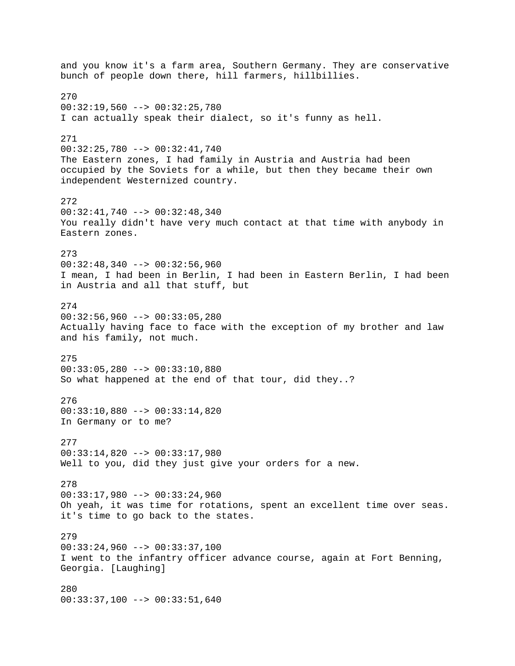and you know it's a farm area, Southern Germany. They are conservative bunch of people down there, hill farmers, hillbillies. 270 00:32:19,560 --> 00:32:25,780 I can actually speak their dialect, so it's funny as hell. 271 00:32:25,780 --> 00:32:41,740 The Eastern zones, I had family in Austria and Austria had been occupied by the Soviets for a while, but then they became their own independent Westernized country. 272 00:32:41,740 --> 00:32:48,340 You really didn't have very much contact at that time with anybody in Eastern zones. 273  $00:32:48,340$  -->  $00:32:56,960$ I mean, I had been in Berlin, I had been in Eastern Berlin, I had been in Austria and all that stuff, but 274  $00:32:56,960$  -->  $00:33:05,280$ Actually having face to face with the exception of my brother and law and his family, not much. 275 00:33:05,280 --> 00:33:10,880 So what happened at the end of that tour, did they..? 276 00:33:10,880 --> 00:33:14,820 In Germany or to me? 277 00:33:14,820 --> 00:33:17,980 Well to you, did they just give your orders for a new. 278 00:33:17,980 --> 00:33:24,960 Oh yeah, it was time for rotations, spent an excellent time over seas. it's time to go back to the states. 279 00:33:24,960 --> 00:33:37,100 I went to the infantry officer advance course, again at Fort Benning, Georgia. [Laughing] 280 00:33:37,100 --> 00:33:51,640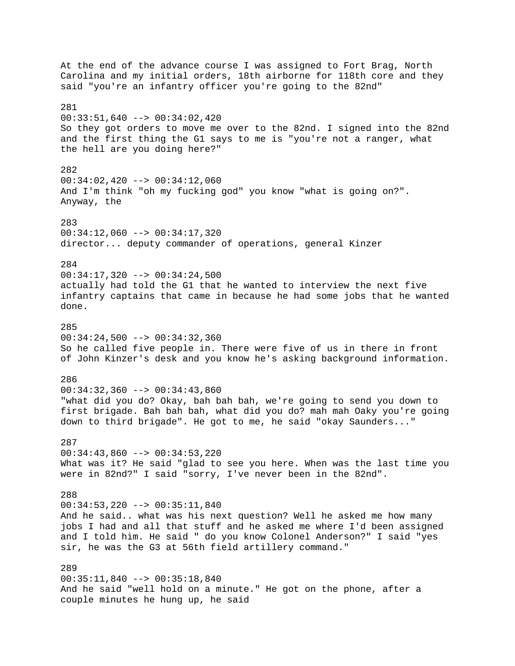At the end of the advance course I was assigned to Fort Brag, North Carolina and my initial orders, 18th airborne for 118th core and they said "you're an infantry officer you're going to the 82nd" 281 00:33:51,640 --> 00:34:02,420 So they got orders to move me over to the 82nd. I signed into the 82nd and the first thing the G1 says to me is "you're not a ranger, what the hell are you doing here?" 282 00:34:02,420 --> 00:34:12,060 And I'm think "oh my fucking god" you know "what is going on?". Anyway, the 283 00:34:12,060 --> 00:34:17,320 director... deputy commander of operations, general Kinzer 284 00:34:17,320 --> 00:34:24,500 actually had told the G1 that he wanted to interview the next five infantry captains that came in because he had some jobs that he wanted done. 285 00:34:24,500 --> 00:34:32,360 So he called five people in. There were five of us in there in front of John Kinzer's desk and you know he's asking background information. 286  $00:34:32,360$  -->  $00:34:43,860$ "what did you do? Okay, bah bah bah, we're going to send you down to first brigade. Bah bah bah, what did you do? mah mah Oaky you're going down to third brigade". He got to me, he said "okay Saunders..." 287 00:34:43,860 --> 00:34:53,220 What was it? He said "glad to see you here. When was the last time you were in 82nd?" I said "sorry, I've never been in the 82nd". 288 00:34:53,220 --> 00:35:11,840 And he said.. what was his next question? Well he asked me how many jobs I had and all that stuff and he asked me where I'd been assigned and I told him. He said " do you know Colonel Anderson?" I said "yes sir, he was the G3 at 56th field artillery command." 289 00:35:11,840 --> 00:35:18,840 And he said "well hold on a minute." He got on the phone, after a couple minutes he hung up, he said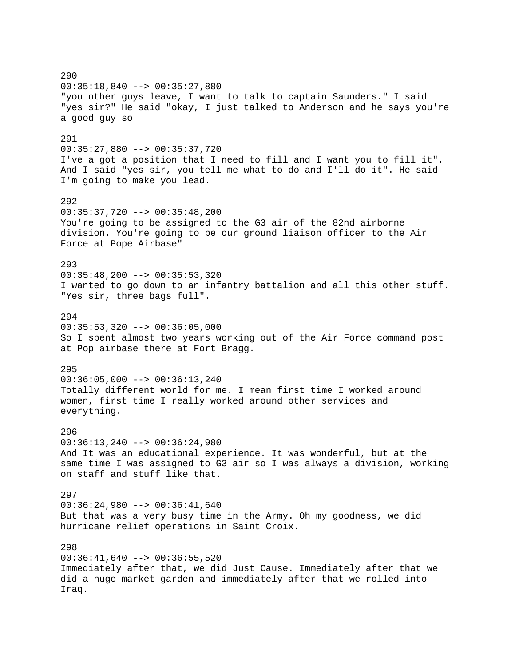290 00:35:18,840 --> 00:35:27,880 "you other guys leave, I want to talk to captain Saunders." I said "yes sir?" He said "okay, I just talked to Anderson and he says you're a good guy so 291 00:35:27,880 --> 00:35:37,720 I've a got a position that I need to fill and I want you to fill it". And I said "yes sir, you tell me what to do and I'll do it". He said I'm going to make you lead. 292 00:35:37,720 --> 00:35:48,200 You're going to be assigned to the G3 air of the 82nd airborne division. You're going to be our ground liaison officer to the Air Force at Pope Airbase" 293 00:35:48,200 --> 00:35:53,320 I wanted to go down to an infantry battalion and all this other stuff. "Yes sir, three bags full". 294  $00:35:53,320$  -->  $00:36:05,000$ So I spent almost two years working out of the Air Force command post at Pop airbase there at Fort Bragg. 295  $00:36:05,000$  -->  $00:36:13,240$ Totally different world for me. I mean first time I worked around women, first time I really worked around other services and everything. 296 00:36:13,240 --> 00:36:24,980 And It was an educational experience. It was wonderful, but at the same time I was assigned to G3 air so I was always a division, working on staff and stuff like that. 297  $00:36:24,980$  -->  $00:36:41,640$ But that was a very busy time in the Army. Oh my goodness, we did hurricane relief operations in Saint Croix. 298  $00:36:41,640$  -->  $00:36:55,520$ Immediately after that, we did Just Cause. Immediately after that we did a huge market garden and immediately after that we rolled into Iraq.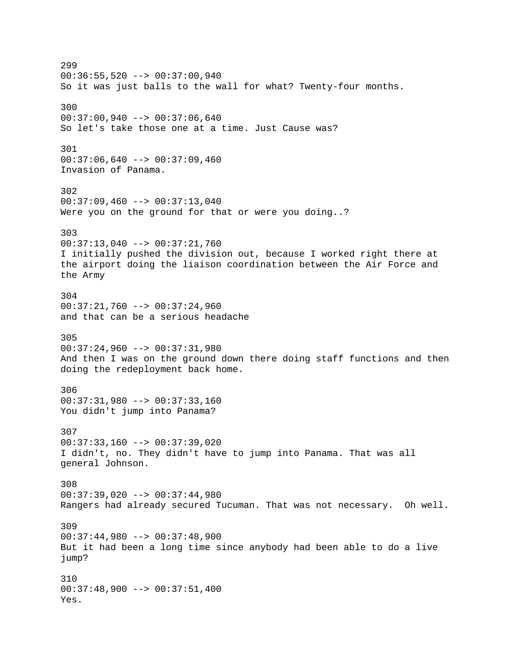299 00:36:55,520 --> 00:37:00,940 So it was just balls to the wall for what? Twenty-four months. 300 00:37:00,940 --> 00:37:06,640 So let's take those one at a time. Just Cause was? 301  $00:37:06,640$  -->  $00:37:09,460$ Invasion of Panama. 302  $00:37:09,460$  -->  $00:37:13,040$ Were you on the ground for that or were you doing..? 303 00:37:13,040 --> 00:37:21,760 I initially pushed the division out, because I worked right there at the airport doing the liaison coordination between the Air Force and the Army 304  $00:37:21,760$  -->  $00:37:24,960$ and that can be a serious headache 305 00:37:24,960 --> 00:37:31,980 And then I was on the ground down there doing staff functions and then doing the redeployment back home. 306 00:37:31,980 --> 00:37:33,160 You didn't jump into Panama? 307 00:37:33,160 --> 00:37:39,020 I didn't, no. They didn't have to jump into Panama. That was all general Johnson. 308 00:37:39,020 --> 00:37:44,980 Rangers had already secured Tucuman. That was not necessary. Oh well. 309 00:37:44,980 --> 00:37:48,900 But it had been a long time since anybody had been able to do a live jump? 310  $00:37:48,900$  -->  $00:37:51,400$ Yes.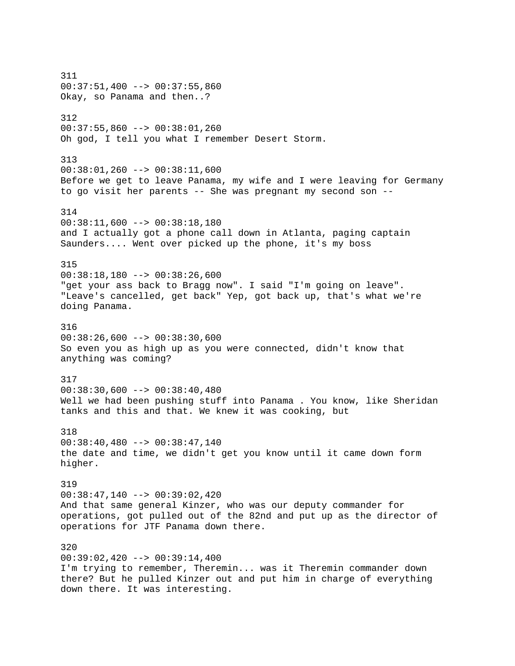311  $00:37:51,400$  -->  $00:37:55,860$ Okay, so Panama and then..? 312 00:37:55,860 --> 00:38:01,260 Oh god, I tell you what I remember Desert Storm. 313 00:38:01,260 --> 00:38:11,600 Before we get to leave Panama, my wife and I were leaving for Germany to go visit her parents -- She was pregnant my second son -- 314 00:38:11,600 --> 00:38:18,180 and I actually got a phone call down in Atlanta, paging captain Saunders.... Went over picked up the phone, it's my boss 315 00:38:18,180 --> 00:38:26,600 "get your ass back to Bragg now". I said "I'm going on leave". "Leave's cancelled, get back" Yep, got back up, that's what we're doing Panama. 316  $00:38:26,600$  -->  $00:38:30,600$ So even you as high up as you were connected, didn't know that anything was coming? 317  $00:38:30,600$  -->  $00:38:40,480$ Well we had been pushing stuff into Panama . You know, like Sheridan tanks and this and that. We knew it was cooking, but 318  $00:38:40,480$  -->  $00:38:47,140$ the date and time, we didn't get you know until it came down form higher. 319  $00:38:47,140$  -->  $00:39:02,420$ And that same general Kinzer, who was our deputy commander for operations, got pulled out of the 82nd and put up as the director of operations for JTF Panama down there. 320  $00:39:02,420$  -->  $00:39:14,400$ I'm trying to remember, Theremin... was it Theremin commander down there? But he pulled Kinzer out and put him in charge of everything down there. It was interesting.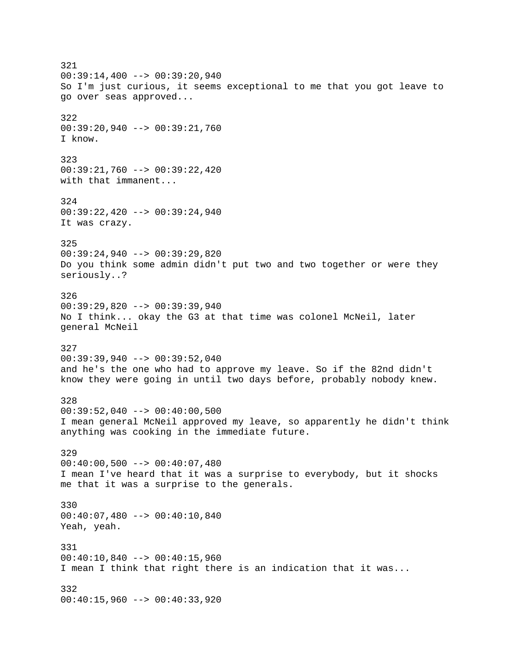321  $00:39:14,400$  -->  $00:39:20,940$ So I'm just curious, it seems exceptional to me that you got leave to go over seas approved... 322 00:39:20,940 --> 00:39:21,760 I know. 323 00:39:21,760 --> 00:39:22,420 with that immanent... 324 00:39:22,420 --> 00:39:24,940 It was crazy. 325 00:39:24,940 --> 00:39:29,820 Do you think some admin didn't put two and two together or were they seriously..? 326 00:39:29,820 --> 00:39:39,940 No I think... okay the G3 at that time was colonel McNeil, later general McNeil 327 00:39:39,940 --> 00:39:52,040 and he's the one who had to approve my leave. So if the 82nd didn't know they were going in until two days before, probably nobody knew. 328 00:39:52,040 --> 00:40:00,500 I mean general McNeil approved my leave, so apparently he didn't think anything was cooking in the immediate future. 329  $00:40:00,500$  -->  $00:40:07,480$ I mean I've heard that it was a surprise to everybody, but it shocks me that it was a surprise to the generals. 330 00:40:07,480 --> 00:40:10,840 Yeah, yeah. 331 00:40:10,840 --> 00:40:15,960 I mean I think that right there is an indication that it was... 332 00:40:15,960 --> 00:40:33,920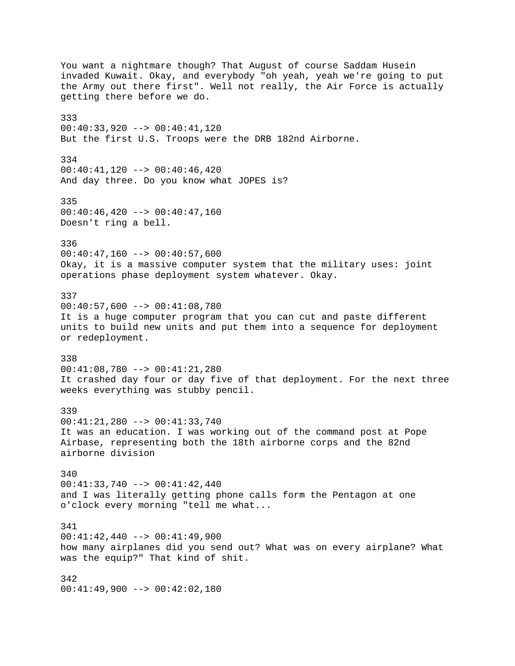You want a nightmare though? That August of course Saddam Husein invaded Kuwait. Okay, and everybody "oh yeah, yeah we're going to put the Army out there first". Well not really, the Air Force is actually getting there before we do. 333  $00:40:33,920$  -->  $00:40:41,120$ But the first U.S. Troops were the DRB 182nd Airborne. 334  $00:40:41,120$  -->  $00:40:46,420$ And day three. Do you know what JOPES is? 335 00:40:46,420 --> 00:40:47,160 Doesn't ring a bell. 336  $00:40:47,160$  -->  $00:40:57,600$ Okay, it is a massive computer system that the military uses: joint operations phase deployment system whatever. Okay. 337  $00:40:57,600$  -->  $00:41:08,780$ It is a huge computer program that you can cut and paste different units to build new units and put them into a sequence for deployment or redeployment. 338 00:41:08,780 --> 00:41:21,280 It crashed day four or day five of that deployment. For the next three weeks everything was stubby pencil. 339 00:41:21,280 --> 00:41:33,740 It was an education. I was working out of the command post at Pope Airbase, representing both the 18th airborne corps and the 82nd airborne division 340 00:41:33,740 --> 00:41:42,440 and I was literally getting phone calls form the Pentagon at one o'clock every morning "tell me what... 341 00:41:42,440 --> 00:41:49,900 how many airplanes did you send out? What was on every airplane? What was the equip?" That kind of shit. 342  $00:41:49,900$  -->  $00:42:02,180$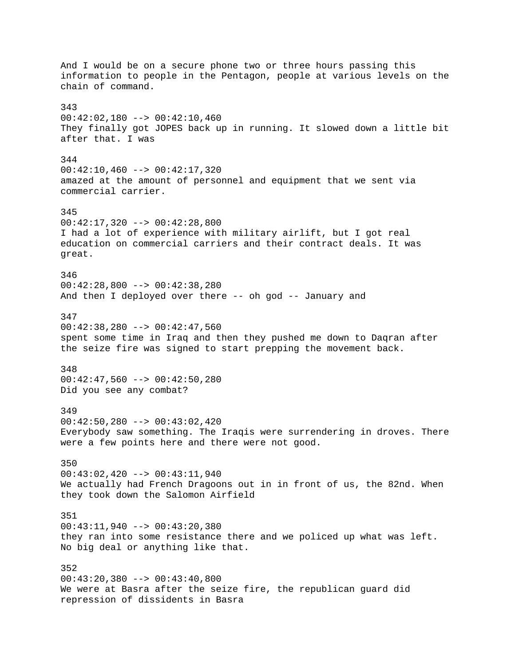And I would be on a secure phone two or three hours passing this information to people in the Pentagon, people at various levels on the chain of command. 343 00:42:02,180 --> 00:42:10,460 They finally got JOPES back up in running. It slowed down a little bit after that. I was 344  $00:42:10,460$  -->  $00:42:17,320$ amazed at the amount of personnel and equipment that we sent via commercial carrier. 345 00:42:17,320 --> 00:42:28,800 I had a lot of experience with military airlift, but I got real education on commercial carriers and their contract deals. It was great. 346 00:42:28,800 --> 00:42:38,280 And then I deployed over there -- oh god -- January and 347 00:42:38,280 --> 00:42:47,560 spent some time in Iraq and then they pushed me down to Daqran after the seize fire was signed to start prepping the movement back. 348  $00:42:47,560$  -->  $00:42:50,280$ Did you see any combat? 349 00:42:50,280 --> 00:43:02,420 Everybody saw something. The Iraqis were surrendering in droves. There were a few points here and there were not good. 350 00:43:02,420 --> 00:43:11,940 We actually had French Dragoons out in in front of us, the 82nd. When they took down the Salomon Airfield 351 00:43:11,940 --> 00:43:20,380 they ran into some resistance there and we policed up what was left. No big deal or anything like that. 352  $00:43:20,380$  -->  $00:43:40,800$ We were at Basra after the seize fire, the republican guard did repression of dissidents in Basra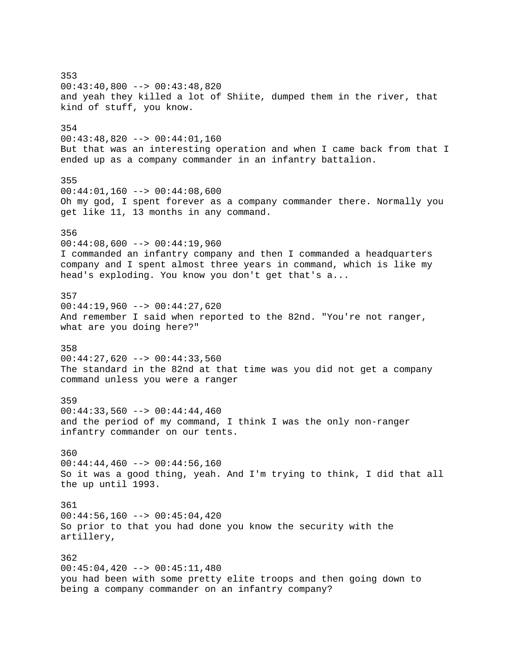353  $00:43:40,800$  -->  $00:43:48,820$ and yeah they killed a lot of Shiite, dumped them in the river, that kind of stuff, you know. 354 00:43:48,820 --> 00:44:01,160 But that was an interesting operation and when I came back from that I ended up as a company commander in an infantry battalion. 355  $00:44:01,160$  -->  $00:44:08,600$ Oh my god, I spent forever as a company commander there. Normally you get like 11, 13 months in any command. 356  $00:44:08,600$  -->  $00:44:19,960$ I commanded an infantry company and then I commanded a headquarters company and I spent almost three years in command, which is like my head's exploding. You know you don't get that's a... 357  $00:44:19,960$  -->  $00:44:27,620$ And remember I said when reported to the 82nd. "You're not ranger, what are you doing here?" 358 00:44:27,620 --> 00:44:33,560 The standard in the 82nd at that time was you did not get a company command unless you were a ranger 359  $00:44:33,560$  -->  $00:44:44,460$ and the period of my command, I think I was the only non-ranger infantry commander on our tents. 360  $00:44:44,460$  -->  $00:44:56,160$ So it was a good thing, yeah. And I'm trying to think, I did that all the up until 1993. 361  $00:44:56,160$  -->  $00:45:04,420$ So prior to that you had done you know the security with the artillery, 362 00:45:04,420 --> 00:45:11,480 you had been with some pretty elite troops and then going down to being a company commander on an infantry company?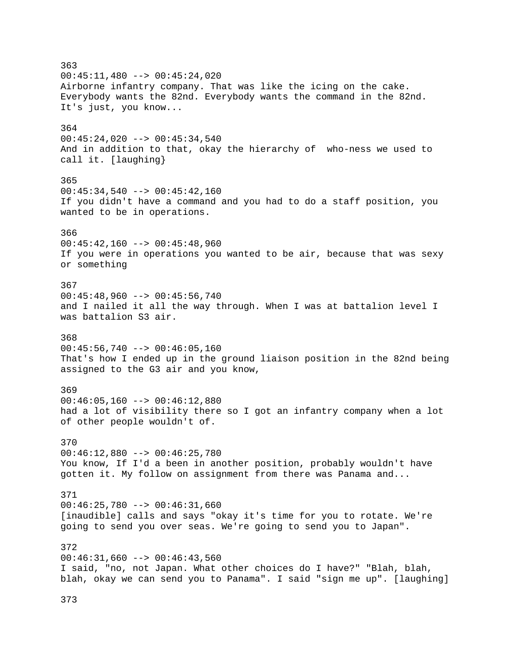363  $00:45:11,480$  -->  $00:45:24,020$ Airborne infantry company. That was like the icing on the cake. Everybody wants the 82nd. Everybody wants the command in the 82nd. It's just, you know... 364 00:45:24,020 --> 00:45:34,540 And in addition to that, okay the hierarchy of who-ness we used to call it. [laughing} 365 00:45:34,540 --> 00:45:42,160 If you didn't have a command and you had to do a staff position, you wanted to be in operations. 366  $00:45:42,160$  -->  $00:45:48,960$ If you were in operations you wanted to be air, because that was sexy or something 367 00:45:48,960 --> 00:45:56,740 and I nailed it all the way through. When I was at battalion level I was battalion S3 air. 368  $00:45:56,740$  -->  $00:46:05,160$ That's how I ended up in the ground liaison position in the 82nd being assigned to the G3 air and you know, 369  $00:46:05,160$  -->  $00:46:12,880$ had a lot of visibility there so I got an infantry company when a lot of other people wouldn't of. 370 00:46:12,880 --> 00:46:25,780 You know, If I'd a been in another position, probably wouldn't have gotten it. My follow on assignment from there was Panama and... 371 00:46:25,780 --> 00:46:31,660 [inaudible] calls and says "okay it's time for you to rotate. We're going to send you over seas. We're going to send you to Japan". 372  $00:46:31,660$  -->  $00:46:43,560$ I said, "no, not Japan. What other choices do I have?" "Blah, blah, blah, okay we can send you to Panama". I said "sign me up". [laughing]

373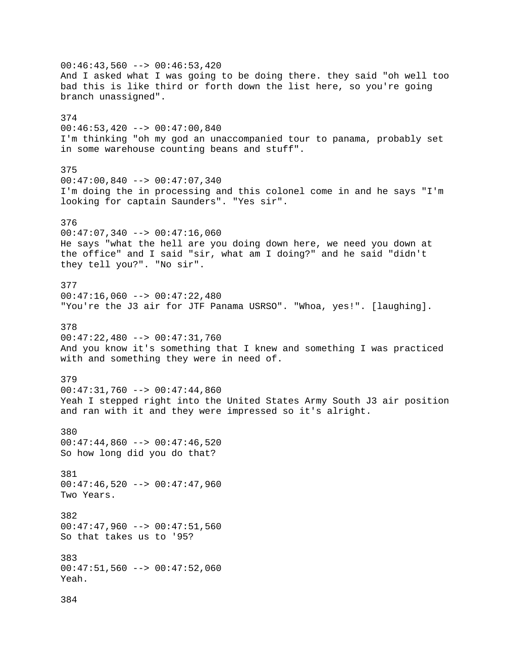$00:46:43,560$  -->  $00:46:53,420$ And I asked what I was going to be doing there. they said "oh well too bad this is like third or forth down the list here, so you're going branch unassigned". 374  $00:46:53,420$  -->  $00:47:00,840$ I'm thinking "oh my god an unaccompanied tour to panama, probably set in some warehouse counting beans and stuff". 375 00:47:00,840 --> 00:47:07,340 I'm doing the in processing and this colonel come in and he says "I'm looking for captain Saunders". "Yes sir". 376  $00:47:07,340$  -->  $00:47:16,060$ He says "what the hell are you doing down here, we need you down at the office" and I said "sir, what am I doing?" and he said "didn't they tell you?". "No sir". 377  $00:47:16,060$  -->  $00:47:22,480$ "You're the J3 air for JTF Panama USRSO". "Whoa, yes!". [laughing]. 378 00:47:22,480 --> 00:47:31,760 And you know it's something that I knew and something I was practiced with and something they were in need of. 379  $00:47:31,760$  -->  $00:47:44,860$ Yeah I stepped right into the United States Army South J3 air position and ran with it and they were impressed so it's alright. 380  $00:47:44,860$  -->  $00:47:46,520$ So how long did you do that? 381 00:47:46,520 --> 00:47:47,960 Two Years. 382  $00:47:47,960$  -->  $00:47:51,560$ So that takes us to '95? 383 00:47:51,560 --> 00:47:52,060 Yeah. 384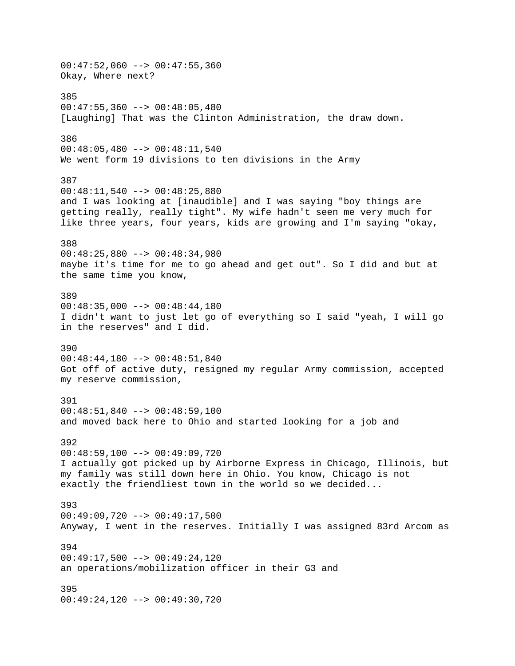$00:47:52,060$  -->  $00:47:55,360$ Okay, Where next? 385  $00:47:55,360$  -->  $00:48:05,480$ [Laughing] That was the Clinton Administration, the draw down. 386 00:48:05,480 --> 00:48:11,540 We went form 19 divisions to ten divisions in the Army 387 00:48:11,540 --> 00:48:25,880 and I was looking at [inaudible] and I was saying "boy things are getting really, really tight". My wife hadn't seen me very much for like three years, four years, kids are growing and I'm saying "okay, 388 00:48:25,880 --> 00:48:34,980 maybe it's time for me to go ahead and get out". So I did and but at the same time you know, 389  $00:48:35,000$  -->  $00:48:44,180$ I didn't want to just let go of everything so I said "yeah, I will go in the reserves" and I did. 390 00:48:44,180 --> 00:48:51,840 Got off of active duty, resigned my regular Army commission, accepted my reserve commission, 391 00:48:51,840 --> 00:48:59,100 and moved back here to Ohio and started looking for a job and 392 00:48:59,100 --> 00:49:09,720 I actually got picked up by Airborne Express in Chicago, Illinois, but my family was still down here in Ohio. You know, Chicago is not exactly the friendliest town in the world so we decided... 393 00:49:09,720 --> 00:49:17,500 Anyway, I went in the reserves. Initially I was assigned 83rd Arcom as 394  $00:49:17,500$  -->  $00:49:24,120$ an operations/mobilization officer in their G3 and 395 00:49:24,120 --> 00:49:30,720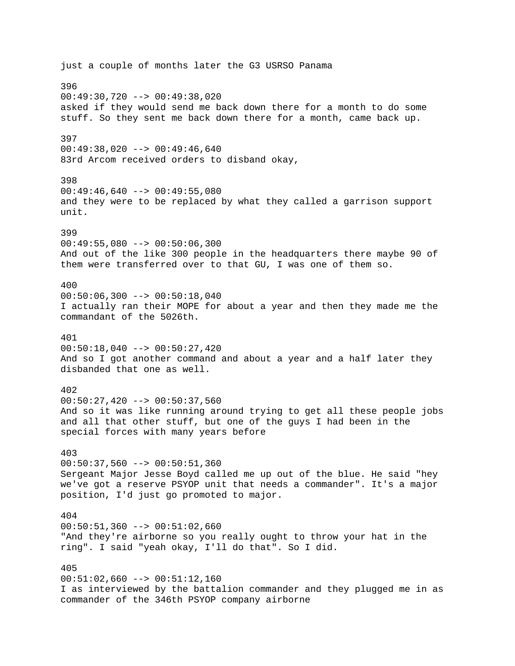just a couple of months later the G3 USRSO Panama 396 00:49:30,720 --> 00:49:38,020 asked if they would send me back down there for a month to do some stuff. So they sent me back down there for a month, came back up. 397 00:49:38,020 --> 00:49:46,640 83rd Arcom received orders to disband okay, 398  $00:49:46,640$  -->  $00:49:55,080$ and they were to be replaced by what they called a garrison support unit. 399  $00:49:55,080$  -->  $00:50:06,300$ And out of the like 300 people in the headquarters there maybe 90 of them were transferred over to that GU, I was one of them so. 400  $00:50:06,300$  -->  $00:50:18,040$ I actually ran their MOPE for about a year and then they made me the commandant of the 5026th. 401  $00:50:18,040$  -->  $00:50:27,420$ And so I got another command and about a year and a half later they disbanded that one as well. 402  $00:50:27,420$  -->  $00:50:37,560$ And so it was like running around trying to get all these people jobs and all that other stuff, but one of the guys I had been in the special forces with many years before 403  $00:50:37,560$  -->  $00:50:51,360$ Sergeant Major Jesse Boyd called me up out of the blue. He said "hey we've got a reserve PSYOP unit that needs a commander". It's a major position, I'd just go promoted to major. 404  $00:50:51,360$  -->  $00:51:02,660$ "And they're airborne so you really ought to throw your hat in the ring". I said "yeah okay, I'll do that". So I did. 405  $00:51:02,660$  -->  $00:51:12,160$ I as interviewed by the battalion commander and they plugged me in as commander of the 346th PSYOP company airborne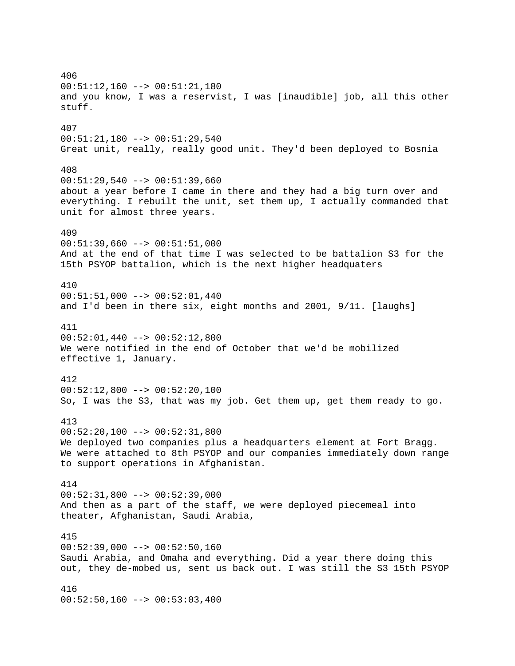406 00:51:12,160 --> 00:51:21,180 and you know, I was a reservist, I was [inaudible] job, all this other stuff. 407 00:51:21,180 --> 00:51:29,540 Great unit, really, really good unit. They'd been deployed to Bosnia 408  $00:51:29,540$  -->  $00:51:39,660$ about a year before I came in there and they had a big turn over and everything. I rebuilt the unit, set them up, I actually commanded that unit for almost three years. 409  $00:51:39,660$  -->  $00:51:51,000$ And at the end of that time I was selected to be battalion S3 for the 15th PSYOP battalion, which is the next higher headquaters 410 00:51:51,000 --> 00:52:01,440 and I'd been in there six, eight months and 2001, 9/11. [laughs] 411  $00:52:01,440$  -->  $00:52:12,800$ We were notified in the end of October that we'd be mobilized effective 1, January. 412  $00:52:12,800$  -->  $00:52:20,100$ So, I was the S3, that was my job. Get them up, get them ready to go. 413  $00:52:20,100$  -->  $00:52:31,800$ We deployed two companies plus a headquarters element at Fort Bragg. We were attached to 8th PSYOP and our companies immediately down range to support operations in Afghanistan. 414  $00:52:31,800$  -->  $00:52:39,000$ And then as a part of the staff, we were deployed piecemeal into theater, Afghanistan, Saudi Arabia, 415  $00:52:39,000$  -->  $00:52:50,160$ Saudi Arabia, and Omaha and everything. Did a year there doing this out, they de-mobed us, sent us back out. I was still the S3 15th PSYOP 416  $00:52:50,160$  -->  $00:53:03,400$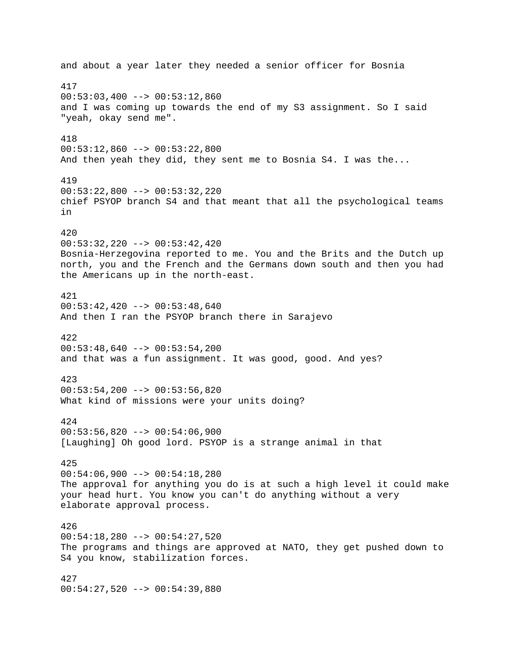and about a year later they needed a senior officer for Bosnia 417  $00:53:03,400$  -->  $00:53:12,860$ and I was coming up towards the end of my S3 assignment. So I said "yeah, okay send me". 418  $00:53:12,860$  -->  $00:53:22,800$ And then yeah they did, they sent me to Bosnia S4. I was the... 419 00:53:22,800 --> 00:53:32,220 chief PSYOP branch S4 and that meant that all the psychological teams in 420 00:53:32,220 --> 00:53:42,420 Bosnia-Herzegovina reported to me. You and the Brits and the Dutch up north, you and the French and the Germans down south and then you had the Americans up in the north-east. 421  $00:53:42,420$  -->  $00:53:48,640$ And then I ran the PSYOP branch there in Sarajevo 422  $00:53:48,640$  -->  $00:53:54,200$ and that was a fun assignment. It was good, good. And yes? 423  $00:53:54,200$  -->  $00:53:56,820$ What kind of missions were your units doing? 424  $00:53:56,820$  -->  $00:54:06,900$ [Laughing] Oh good lord. PSYOP is a strange animal in that 425  $00:54:06,900$  -->  $00:54:18,280$ The approval for anything you do is at such a high level it could make your head hurt. You know you can't do anything without a very elaborate approval process. 426 00:54:18,280 --> 00:54:27,520 The programs and things are approved at NATO, they get pushed down to S4 you know, stabilization forces. 427 00:54:27,520 --> 00:54:39,880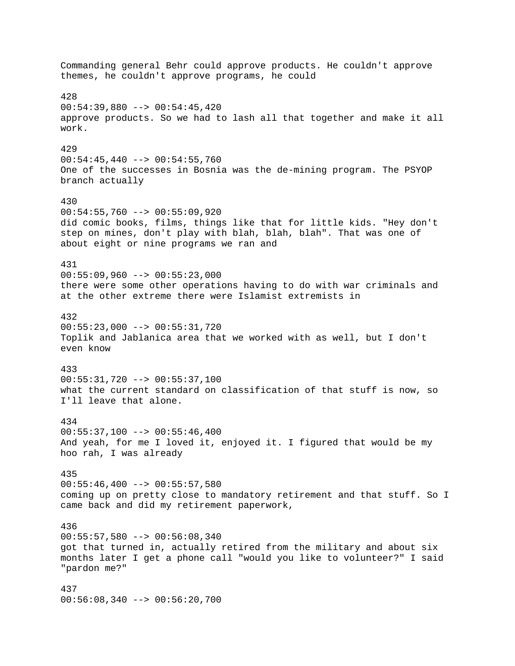Commanding general Behr could approve products. He couldn't approve themes, he couldn't approve programs, he could 428 00:54:39,880 --> 00:54:45,420 approve products. So we had to lash all that together and make it all work. 429  $00:54:45,440$  -->  $00:54:55,760$ One of the successes in Bosnia was the de-mining program. The PSYOP branch actually 430  $00:54:55,760$  -->  $00:55:09,920$ did comic books, films, things like that for little kids. "Hey don't step on mines, don't play with blah, blah, blah". That was one of about eight or nine programs we ran and 431  $00:55:09,960$  -->  $00:55:23,000$ there were some other operations having to do with war criminals and at the other extreme there were Islamist extremists in 432 00:55:23,000 --> 00:55:31,720 Toplik and Jablanica area that we worked with as well, but I don't even know 433 00:55:31,720 --> 00:55:37,100 what the current standard on classification of that stuff is now, so I'll leave that alone. 434  $00:55:37,100$  -->  $00:55:46,400$ And yeah, for me I loved it, enjoyed it. I figured that would be my hoo rah, I was already 435  $00:55:46,400$  -->  $00:55:57,580$ coming up on pretty close to mandatory retirement and that stuff. So I came back and did my retirement paperwork, 436 00:55:57,580 --> 00:56:08,340 got that turned in, actually retired from the military and about six months later I get a phone call "would you like to volunteer?" I said "pardon me?" 437 00:56:08,340 --> 00:56:20,700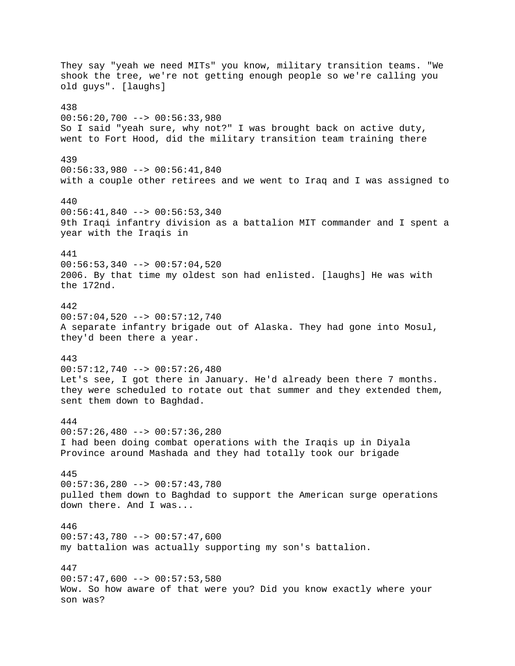They say "yeah we need MITs" you know, military transition teams. "We shook the tree, we're not getting enough people so we're calling you old guys". [laughs] 438  $00:56:20,700$  -->  $00:56:33,980$ So I said "yeah sure, why not?" I was brought back on active duty, went to Fort Hood, did the military transition team training there 439 00:56:33,980 --> 00:56:41,840 with a couple other retirees and we went to Iraq and I was assigned to 440  $00:56:41,840$  -->  $00:56:53,340$ 9th Iraqi infantry division as a battalion MIT commander and I spent a year with the Iraqis in 441  $00:56:53,340$  -->  $00:57:04,520$ 2006. By that time my oldest son had enlisted. [laughs] He was with the 172nd. 442  $00:57:04,520$  -->  $00:57:12,740$ A separate infantry brigade out of Alaska. They had gone into Mosul, they'd been there a year. 443  $00:57:12,740$  -->  $00:57:26,480$ Let's see, I got there in January. He'd already been there 7 months. they were scheduled to rotate out that summer and they extended them, sent them down to Baghdad. 444  $00:57:26,480$  -->  $00:57:36,280$ I had been doing combat operations with the Iraqis up in Diyala Province around Mashada and they had totally took our brigade 445  $00:57:36,280$  -->  $00:57:43,780$ pulled them down to Baghdad to support the American surge operations down there. And I was... 446  $00:57:43,780$  -->  $00:57:47,600$ my battalion was actually supporting my son's battalion. 447  $00:57:47,600$  -->  $00:57:53,580$ Wow. So how aware of that were you? Did you know exactly where your son was?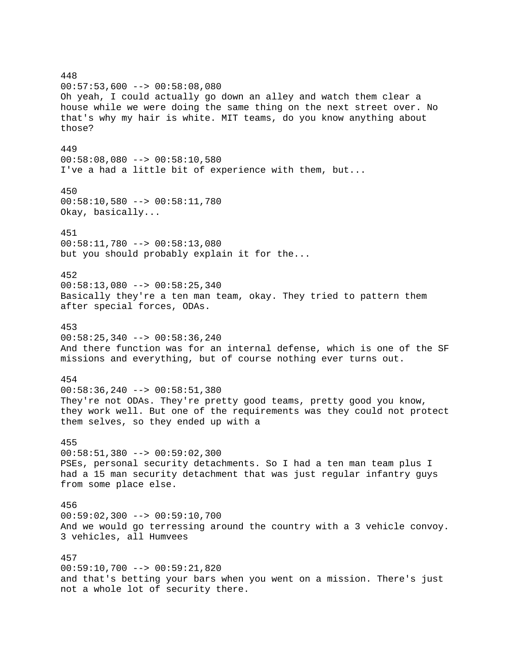448  $00:57:53,600$  -->  $00:58:08,080$ Oh yeah, I could actually go down an alley and watch them clear a house while we were doing the same thing on the next street over. No that's why my hair is white. MIT teams, do you know anything about those? 449  $00:58:08,080$  -->  $00:58:10,580$ I've a had a little bit of experience with them, but... 450 00:58:10,580 --> 00:58:11,780 Okay, basically... 451 00:58:11,780 --> 00:58:13,080 but you should probably explain it for the... 452  $00:58:13,080$  -->  $00:58:25,340$ Basically they're a ten man team, okay. They tried to pattern them after special forces, ODAs. 453  $00:58:25,340$  -->  $00:58:36,240$ And there function was for an internal defense, which is one of the SF missions and everything, but of course nothing ever turns out. 454  $00:58:36,240$  -->  $00:58:51,380$ They're not ODAs. They're pretty good teams, pretty good you know, they work well. But one of the requirements was they could not protect them selves, so they ended up with a 455 00:58:51,380 --> 00:59:02,300 PSEs, personal security detachments. So I had a ten man team plus I had a 15 man security detachment that was just regular infantry guys from some place else. 456 00:59:02,300 --> 00:59:10,700 And we would go terressing around the country with a 3 vehicle convoy. 3 vehicles, all Humvees 457 00:59:10,700 --> 00:59:21,820 and that's betting your bars when you went on a mission. There's just not a whole lot of security there.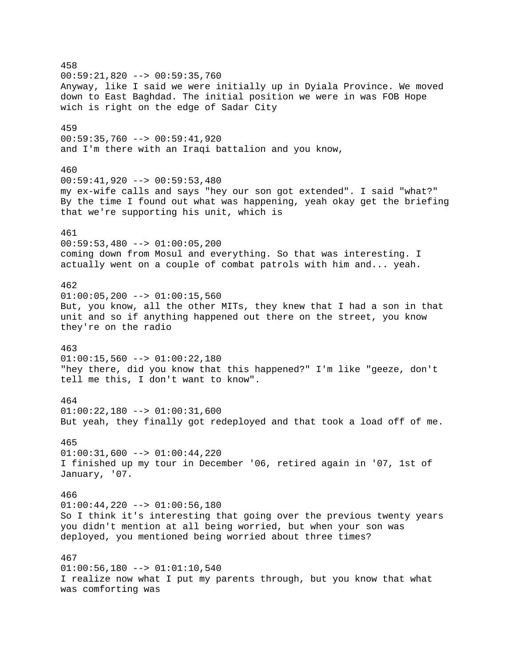458 00:59:21,820 --> 00:59:35,760 Anyway, like I said we were initially up in Dyiala Province. We moved down to East Baghdad. The initial position we were in was FOB Hope wich is right on the edge of Sadar City 459 00:59:35,760 --> 00:59:41,920 and I'm there with an Iraqi battalion and you know, 460 00:59:41,920 --> 00:59:53,480 my ex-wife calls and says "hey our son got extended". I said "what?" By the time I found out what was happening, yeah okay get the briefing that we're supporting his unit, which is 461  $00:59:53,480$  -->  $01:00:05,200$ coming down from Mosul and everything. So that was interesting. I actually went on a couple of combat patrols with him and... yeah. 462  $01:00:05,200$  -->  $01:00:15,560$ But, you know, all the other MITs, they knew that I had a son in that unit and so if anything happened out there on the street, you know they're on the radio 463  $01:00:15,560$  -->  $01:00:22,180$ "hey there, did you know that this happened?" I'm like "geeze, don't tell me this, I don't want to know". 464  $01:00:22,180$  -->  $01:00:31,600$ But yeah, they finally got redeployed and that took a load off of me. 465  $01:00:31,600$  -->  $01:00:44,220$ I finished up my tour in December '06, retired again in '07, 1st of January, '07. 466  $01:00:44,220$  -->  $01:00:56,180$ So I think it's interesting that going over the previous twenty years you didn't mention at all being worried, but when your son was deployed, you mentioned being worried about three times? 467  $01:00:56,180$  -->  $01:01:10,540$ I realize now what I put my parents through, but you know that what was comforting was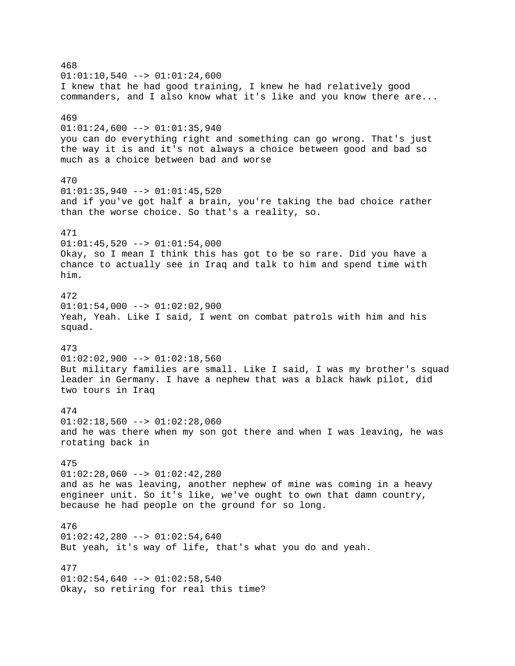468  $01:01:10,540$  -->  $01:01:24,600$ I knew that he had good training, I knew he had relatively good commanders, and I also know what it's like and you know there are... 469  $01:01:24,600$  -->  $01:01:35,940$ you can do everything right and something can go wrong. That's just the way it is and it's not always a choice between good and bad so much as a choice between bad and worse 470  $01:01:35,940$  -->  $01:01:45,520$ and if you've got half a brain, you're taking the bad choice rather than the worse choice. So that's a reality, so. 471  $01:01:45,520$  -->  $01:01:54,000$ Okay, so I mean I think this has got to be so rare. Did you have a chance to actually see in Iraq and talk to him and spend time with him. 472  $01:01:54,000$  -->  $01:02:02,900$ Yeah, Yeah. Like I said, I went on combat patrols with him and his squad. 473  $01:02:02,900$  -->  $01:02:18,560$ But military families are small. Like I said, I was my brother's squad leader in Germany. I have a nephew that was a black hawk pilot, did two tours in Iraq 474  $01:02:18,560$  -->  $01:02:28,060$ and he was there when my son got there and when I was leaving, he was rotating back in 475  $01:02:28,060$  -->  $01:02:42,280$ and as he was leaving, another nephew of mine was coming in a heavy engineer unit. So it's like, we've ought to own that damn country, because he had people on the ground for so long. 476  $01:02:42,280$  -->  $01:02:54,640$ But yeah, it's way of life, that's what you do and yeah. 477  $01:02:54,640$  -->  $01:02:58,540$ Okay, so retiring for real this time?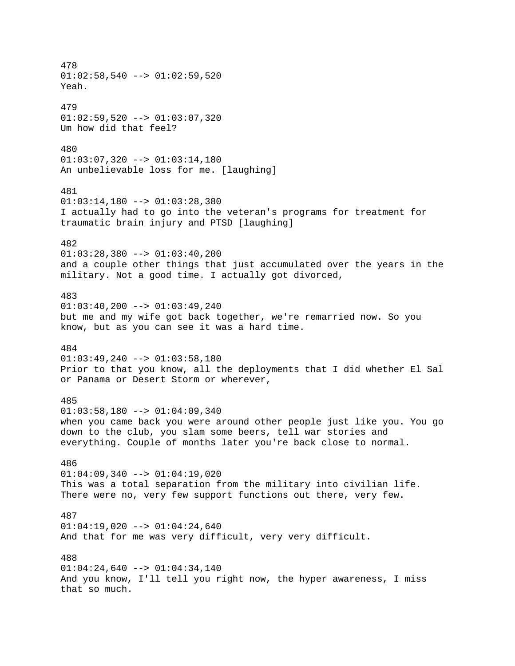478  $01:02:58,540$  -->  $01:02:59,520$ Yeah. 479  $01:02:59,520$  -->  $01:03:07,320$ Um how did that feel? 480  $01:03:07,320$  -->  $01:03:14,180$ An unbelievable loss for me. [laughing] 481  $01:03:14,180$  -->  $01:03:28,380$ I actually had to go into the veteran's programs for treatment for traumatic brain injury and PTSD [laughing] 482  $01:03:28,380$  -->  $01:03:40,200$ and a couple other things that just accumulated over the years in the military. Not a good time. I actually got divorced, 483  $01:03:40,200$  -->  $01:03:49,240$ but me and my wife got back together, we're remarried now. So you know, but as you can see it was a hard time. 484  $01:03:49,240$  -->  $01:03:58,180$ Prior to that you know, all the deployments that I did whether El Sal or Panama or Desert Storm or wherever, 485 01:03:58,180 --> 01:04:09,340 when you came back you were around other people just like you. You go down to the club, you slam some beers, tell war stories and everything. Couple of months later you're back close to normal. 486  $01:04:09,340$  -->  $01:04:19,020$ This was a total separation from the military into civilian life. There were no, very few support functions out there, very few. 487  $01:04:19,020$  -->  $01:04:24,640$ And that for me was very difficult, very very difficult. 488 01:04:24,640 --> 01:04:34,140 And you know, I'll tell you right now, the hyper awareness, I miss that so much.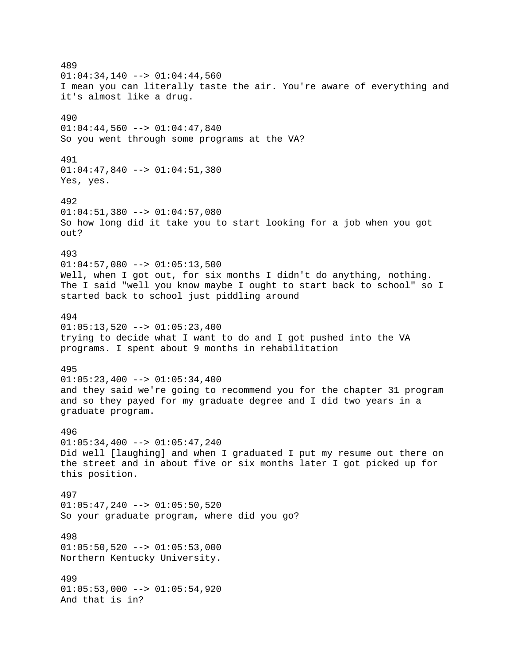489  $01:04:34,140$  -->  $01:04:44,560$ I mean you can literally taste the air. You're aware of everything and it's almost like a drug. 490  $01:04:44,560$  -->  $01:04:47,840$ So you went through some programs at the VA? 491 01:04:47,840 --> 01:04:51,380 Yes, yes. 492  $01:04:51,380$  -->  $01:04:57,080$ So how long did it take you to start looking for a job when you got out? 493  $01:04:57,080$  -->  $01:05:13,500$ Well, when I got out, for six months I didn't do anything, nothing. The I said "well you know maybe I ought to start back to school" so I started back to school just piddling around 494  $01:05:13,520$  -->  $01:05:23,400$ trying to decide what I want to do and I got pushed into the VA programs. I spent about 9 months in rehabilitation 495  $01:05:23,400$  -->  $01:05:34,400$ and they said we're going to recommend you for the chapter 31 program and so they payed for my graduate degree and I did two years in a graduate program. 496  $01:05:34,400$  -->  $01:05:47,240$ Did well [laughing] and when I graduated I put my resume out there on the street and in about five or six months later I got picked up for this position. 497  $01:05:47,240$  -->  $01:05:50,520$ So your graduate program, where did you go? 498  $01:05:50,520$  -->  $01:05:53,000$ Northern Kentucky University. 499  $01:05:53,000$  -->  $01:05:54,920$ And that is in?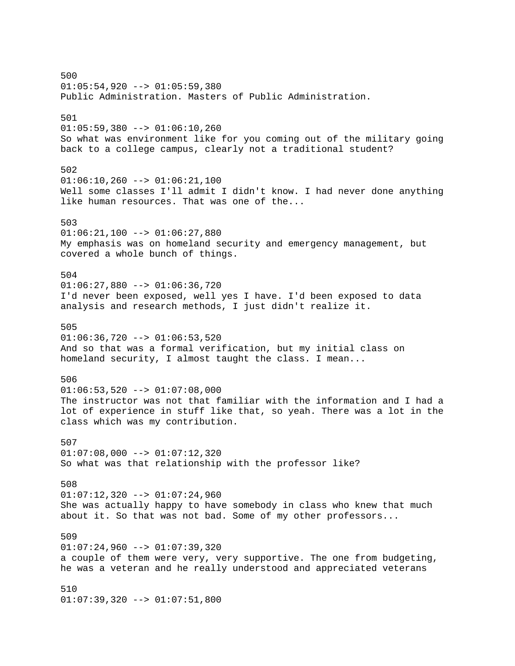500  $01:05:54,920$  -->  $01:05:59,380$ Public Administration. Masters of Public Administration. 501  $01:05:59,380$  -->  $01:06:10,260$ So what was environment like for you coming out of the military going back to a college campus, clearly not a traditional student? 502  $01:06:10,260$  -->  $01:06:21,100$ Well some classes I'll admit I didn't know. I had never done anything like human resources. That was one of the... 503  $01:06:21,100$  -->  $01:06:27,880$ My emphasis was on homeland security and emergency management, but covered a whole bunch of things. 504  $01:06:27,880$  -->  $01:06:36,720$ I'd never been exposed, well yes I have. I'd been exposed to data analysis and research methods, I just didn't realize it. 505  $01:06:36,720$  -->  $01:06:53,520$ And so that was a formal verification, but my initial class on homeland security, I almost taught the class. I mean... 506  $01:06:53,520$  -->  $01:07:08,000$ The instructor was not that familiar with the information and I had a lot of experience in stuff like that, so yeah. There was a lot in the class which was my contribution. 507  $01:07:08,000$  -->  $01:07:12,320$ So what was that relationship with the professor like? 508  $01:07:12,320$  -->  $01:07:24,960$ She was actually happy to have somebody in class who knew that much about it. So that was not bad. Some of my other professors... 509  $01:07:24,960$  -->  $01:07:39,320$ a couple of them were very, very supportive. The one from budgeting, he was a veteran and he really understood and appreciated veterans 510  $01:07:39,320$  -->  $01:07:51,800$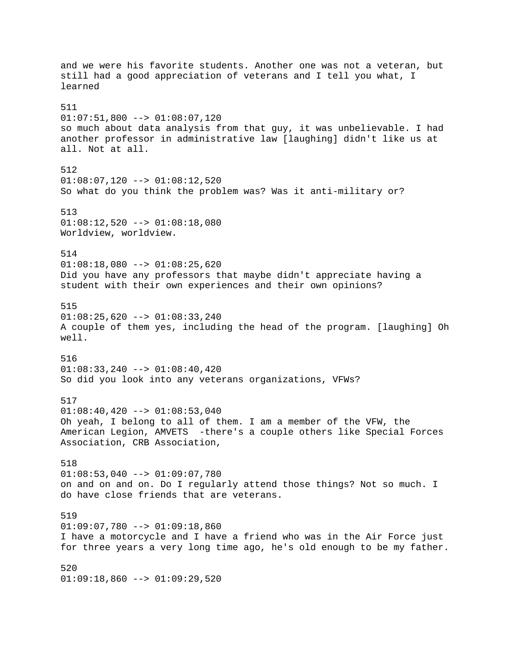and we were his favorite students. Another one was not a veteran, but still had a good appreciation of veterans and I tell you what, I learned 511  $01:07:51,800$  -->  $01:08:07,120$ so much about data analysis from that guy, it was unbelievable. I had another professor in administrative law [laughing] didn't like us at all. Not at all. 512  $01:08:07,120$  -->  $01:08:12,520$ So what do you think the problem was? Was it anti-military or? 513  $01:08:12,520$  -->  $01:08:18,080$ Worldview, worldview. 514  $01:08:18,080$  -->  $01:08:25,620$ Did you have any professors that maybe didn't appreciate having a student with their own experiences and their own opinions? 515  $01:08:25,620$  -->  $01:08:33,240$ A couple of them yes, including the head of the program. [laughing] Oh well. 516 01:08:33,240 --> 01:08:40,420 So did you look into any veterans organizations, VFWs? 517  $01:08:40,420$  -->  $01:08:53,040$ Oh yeah, I belong to all of them. I am a member of the VFW, the American Legion, AMVETS -there's a couple others like Special Forces Association, CRB Association, 518  $01:08:53,040$  -->  $01:09:07,780$ on and on and on. Do I regularly attend those things? Not so much. I do have close friends that are veterans. 519  $01:09:07,780$  -->  $01:09:18,860$ I have a motorcycle and I have a friend who was in the Air Force just for three years a very long time ago, he's old enough to be my father. 520  $01:09:18,860$  -->  $01:09:29,520$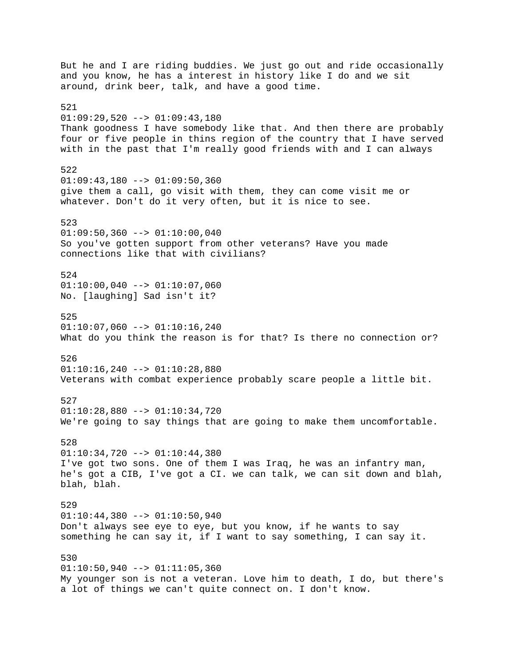But he and I are riding buddies. We just go out and ride occasionally and you know, he has a interest in history like I do and we sit around, drink beer, talk, and have a good time. 521  $01:09:29,520$  -->  $01:09:43,180$ Thank goodness I have somebody like that. And then there are probably four or five people in thins region of the country that I have served with in the past that I'm really good friends with and I can always 522  $01:09:43,180$  -->  $01:09:50,360$ give them a call, go visit with them, they can come visit me or whatever. Don't do it very often, but it is nice to see. 523  $01:09:50,360$  -->  $01:10:00,040$ So you've gotten support from other veterans? Have you made connections like that with civilians? 524  $01:10:00,040$  -->  $01:10:07,060$ No. [laughing] Sad isn't it? 525  $01:10:07,060$  -->  $01:10:16,240$ What do you think the reason is for that? Is there no connection or? 526  $01:10:16,240$  -->  $01:10:28,880$ Veterans with combat experience probably scare people a little bit. 527 01:10:28,880 --> 01:10:34,720 We're going to say things that are going to make them uncomfortable. 528 01:10:34,720 --> 01:10:44,380 I've got two sons. One of them I was Iraq, he was an infantry man, he's got a CIB, I've got a CI. we can talk, we can sit down and blah, blah, blah. 529  $01:10:44,380$  -->  $01:10:50,940$ Don't always see eye to eye, but you know, if he wants to say something he can say it, if I want to say something, I can say it. 530  $01:10:50,940$  -->  $01:11:05,360$ My younger son is not a veteran. Love him to death, I do, but there's a lot of things we can't quite connect on. I don't know.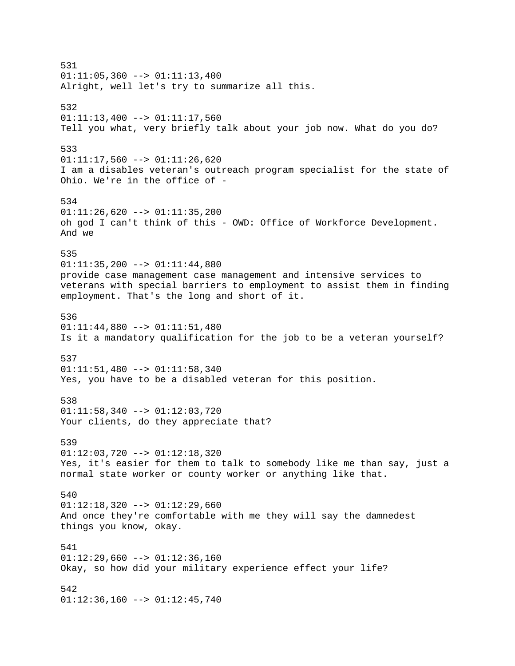531  $01:11:05,360$  -->  $01:11:13,400$ Alright, well let's try to summarize all this. 532  $01:11:13,400$  -->  $01:11:17,560$ Tell you what, very briefly talk about your job now. What do you do? 533 01:11:17,560 --> 01:11:26,620 I am a disables veteran's outreach program specialist for the state of Ohio. We're in the office of - 534  $01:11:26,620$  -->  $01:11:35,200$ oh god I can't think of this - OWD: Office of Workforce Development. And we 535  $01:11:35,200$  -->  $01:11:44,880$ provide case management case management and intensive services to veterans with special barriers to employment to assist them in finding employment. That's the long and short of it. 536 01:11:44,880 --> 01:11:51,480 Is it a mandatory qualification for the job to be a veteran yourself? 537 01:11:51,480 --> 01:11:58,340 Yes, you have to be a disabled veteran for this position. 538 01:11:58,340 --> 01:12:03,720 Your clients, do they appreciate that? 539 01:12:03,720 --> 01:12:18,320 Yes, it's easier for them to talk to somebody like me than say, just a normal state worker or county worker or anything like that. 540  $01:12:18,320$  -->  $01:12:29,660$ And once they're comfortable with me they will say the damnedest things you know, okay. 541  $01:12:29,660$  -->  $01:12:36,160$ Okay, so how did your military experience effect your life? 542  $01:12:36,160$  -->  $01:12:45,740$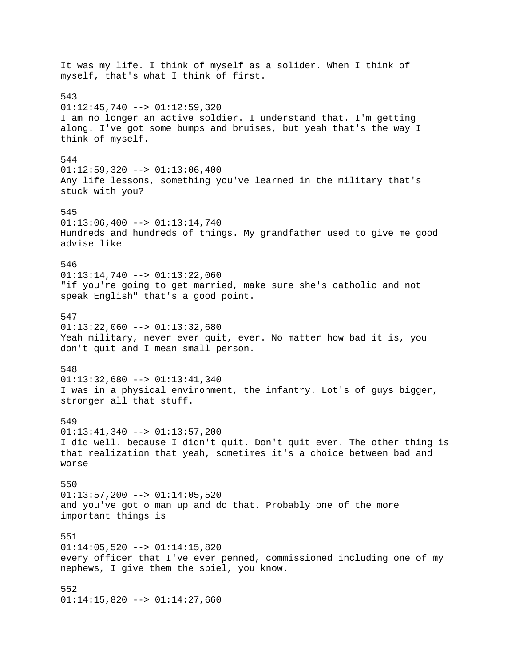It was my life. I think of myself as a solider. When I think of myself, that's what I think of first. 543  $01:12:45,740$  -->  $01:12:59,320$ I am no longer an active soldier. I understand that. I'm getting along. I've got some bumps and bruises, but yeah that's the way I think of myself. 544  $01:12:59,320$  -->  $01:13:06,400$ Any life lessons, something you've learned in the military that's stuck with you? 545  $01:13:06,400$  -->  $01:13:14,740$ Hundreds and hundreds of things. My grandfather used to give me good advise like 546  $01:13:14,740$  -->  $01:13:22,060$ "if you're going to get married, make sure she's catholic and not speak English" that's a good point. 547  $01:13:22,060$  -->  $01:13:32,680$ Yeah military, never ever quit, ever. No matter how bad it is, you don't quit and I mean small person. 548  $01:13:32,680$  -->  $01:13:41,340$ I was in a physical environment, the infantry. Lot's of guys bigger, stronger all that stuff. 549 01:13:41,340 --> 01:13:57,200 I did well. because I didn't quit. Don't quit ever. The other thing is that realization that yeah, sometimes it's a choice between bad and worse 550  $01:13:57,200$  -->  $01:14:05,520$ and you've got o man up and do that. Probably one of the more important things is 551  $01:14:05,520$  -->  $01:14:15,820$ every officer that I've ever penned, commissioned including one of my nephews, I give them the spiel, you know. 552  $01:14:15,820$  -->  $01:14:27,660$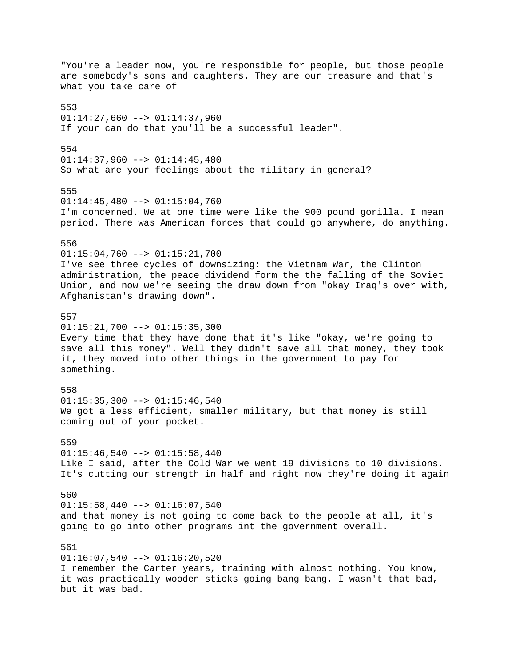"You're a leader now, you're responsible for people, but those people are somebody's sons and daughters. They are our treasure and that's what you take care of 553  $01:14:27,660$  -->  $01:14:37,960$ If your can do that you'll be a successful leader". 554  $01:14:37,960$  -->  $01:14:45,480$ So what are your feelings about the military in general? 555  $01:14:45,480$  -->  $01:15:04,760$ I'm concerned. We at one time were like the 900 pound gorilla. I mean period. There was American forces that could go anywhere, do anything. 556  $01:15:04,760$  -->  $01:15:21,700$ I've see three cycles of downsizing: the Vietnam War, the Clinton administration, the peace dividend form the the falling of the Soviet Union, and now we're seeing the draw down from "okay Iraq's over with, Afghanistan's drawing down". 557  $01:15:21,700$  -->  $01:15:35,300$ Every time that they have done that it's like "okay, we're going to save all this money". Well they didn't save all that money, they took it, they moved into other things in the government to pay for something. 558  $01:15:35,300$  -->  $01:15:46,540$ We got a less efficient, smaller military, but that money is still coming out of your pocket. 559  $01:15:46,540$  -->  $01:15:58,440$ Like I said, after the Cold War we went 19 divisions to 10 divisions. It's cutting our strength in half and right now they're doing it again 560  $01:15:58,440$  -->  $01:16:07,540$ and that money is not going to come back to the people at all, it's going to go into other programs int the government overall. 561  $01:16:07,540$  -->  $01:16:20,520$ I remember the Carter years, training with almost nothing. You know, it was practically wooden sticks going bang bang. I wasn't that bad, but it was bad.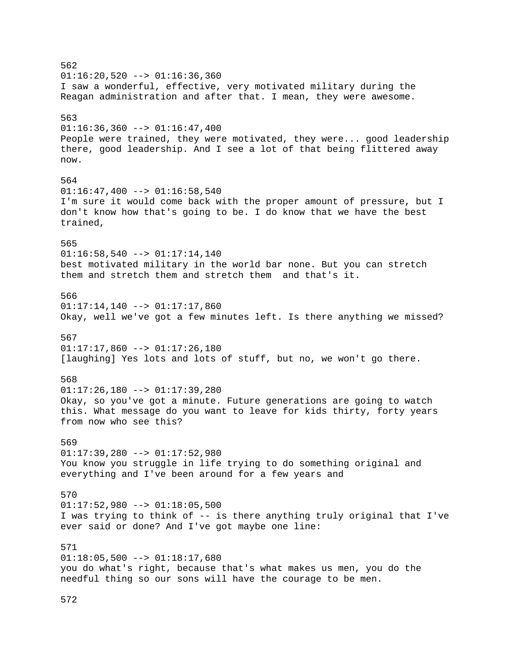562  $01:16:20,520$  -->  $01:16:36,360$ I saw a wonderful, effective, very motivated military during the Reagan administration and after that. I mean, they were awesome. 563  $01:16:36,360$  -->  $01:16:47,400$ People were trained, they were motivated, they were... good leadership there, good leadership. And I see a lot of that being flittered away now. 564  $01:16:47,400$  -->  $01:16:58,540$ I'm sure it would come back with the proper amount of pressure, but I don't know how that's going to be. I do know that we have the best trained, 565  $01:16:58,540$  -->  $01:17:14,140$ best motivated military in the world bar none. But you can stretch them and stretch them and stretch them and that's it. 566  $01:17:14,140$  -->  $01:17:17,860$ Okay, well we've got a few minutes left. Is there anything we missed? 567  $01:17:17,860$  -->  $01:17:26,180$ [laughing] Yes lots and lots of stuff, but no, we won't go there. 568  $01:17:26,180$  -->  $01:17:39,280$ Okay, so you've got a minute. Future generations are going to watch this. What message do you want to leave for kids thirty, forty years from now who see this? 569 01:17:39,280 --> 01:17:52,980 You know you struggle in life trying to do something original and everything and I've been around for a few years and 570  $01:17:52,980$  -->  $01:18:05,500$ I was trying to think of -- is there anything truly original that I've ever said or done? And I've got maybe one line: 571  $01:18:05,500$  -->  $01:18:17,680$ you do what's right, because that's what makes us men, you do the needful thing so our sons will have the courage to be men.

572